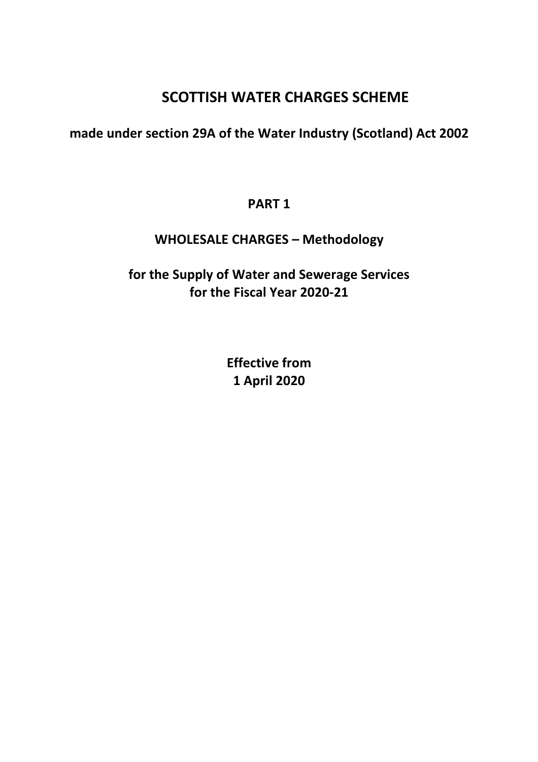# SCOTTISH WATER CHARGES SCHEME

# made under section 29A of the Water Industry (Scotland) Act 2002

# PART 1

# WHOLESALE CHARGES – Methodology

for the Supply of Water and Sewerage Services for the Fiscal Year 2020-21

> Effective from 1 April 2020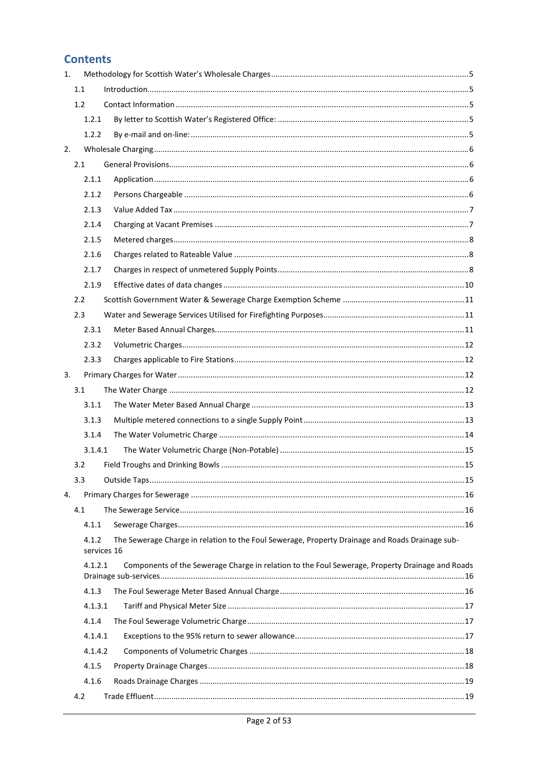# **Contents**

| 1.  |                      |                                                                                                 |  |
|-----|----------------------|-------------------------------------------------------------------------------------------------|--|
| 1.1 |                      |                                                                                                 |  |
| 1.2 |                      |                                                                                                 |  |
|     | 1.2.1                |                                                                                                 |  |
|     | 1.2.2                |                                                                                                 |  |
| 2.  |                      |                                                                                                 |  |
| 2.1 |                      |                                                                                                 |  |
|     | 2.1.1                |                                                                                                 |  |
|     | 2.1.2                |                                                                                                 |  |
|     | 2.1.3                |                                                                                                 |  |
|     | 2.1.4                |                                                                                                 |  |
|     | 2.1.5                |                                                                                                 |  |
|     | 2.1.6                |                                                                                                 |  |
|     | 2.1.7                |                                                                                                 |  |
|     | 2.1.9                |                                                                                                 |  |
| 2.2 |                      |                                                                                                 |  |
| 2.3 |                      |                                                                                                 |  |
|     | 2.3.1                |                                                                                                 |  |
|     | 2.3.2                |                                                                                                 |  |
|     | 2.3.3                |                                                                                                 |  |
| 3.  |                      |                                                                                                 |  |
| 3.1 |                      |                                                                                                 |  |
|     | 3.1.1                |                                                                                                 |  |
|     | 3.1.3                |                                                                                                 |  |
|     | 3.1.4                |                                                                                                 |  |
|     | 3.1.4.1              |                                                                                                 |  |
| 3.2 |                      |                                                                                                 |  |
| 3.3 |                      |                                                                                                 |  |
| 4.  |                      |                                                                                                 |  |
| 4.1 |                      |                                                                                                 |  |
|     | 4.1.1                |                                                                                                 |  |
|     | 4.1.2<br>services 16 | The Sewerage Charge in relation to the Foul Sewerage, Property Drainage and Roads Drainage sub- |  |
|     | 4.1.2.1              | Components of the Sewerage Charge in relation to the Foul Sewerage, Property Drainage and Roads |  |
|     | 4.1.3                |                                                                                                 |  |
|     | 4.1.3.1              |                                                                                                 |  |
|     | 4.1.4                |                                                                                                 |  |
|     | 4.1.4.1              |                                                                                                 |  |
|     | 4.1.4.2              |                                                                                                 |  |
|     | 4.1.5                |                                                                                                 |  |
|     | 4.1.6                |                                                                                                 |  |
| 4.2 |                      |                                                                                                 |  |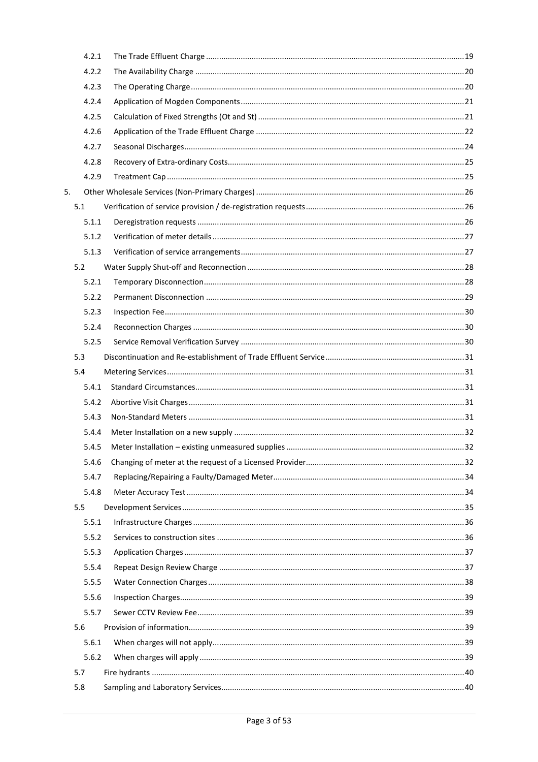|    | 4.2.1 |  |
|----|-------|--|
|    | 4.2.2 |  |
|    | 4.2.3 |  |
|    | 4.2.4 |  |
|    | 4.2.5 |  |
|    | 4.2.6 |  |
|    | 4.2.7 |  |
|    | 4.2.8 |  |
|    | 4.2.9 |  |
| 5. |       |  |
|    | 5.1   |  |
|    | 5.1.1 |  |
|    | 5.1.2 |  |
|    | 5.1.3 |  |
|    | 5.2   |  |
|    | 5.2.1 |  |
|    | 5.2.2 |  |
|    | 5.2.3 |  |
|    | 5.2.4 |  |
|    | 5.2.5 |  |
|    | 5.3   |  |
|    | 5.4   |  |
|    | 5.4.1 |  |
|    | 5.4.2 |  |
|    | 5.4.3 |  |
|    | 5.4.4 |  |
|    | 5.4.5 |  |
|    | 5.4.6 |  |
|    | 5.4.7 |  |
|    | 5.4.8 |  |
|    | 5.5   |  |
|    | 5.5.1 |  |
|    | 5.5.2 |  |
|    | 5.5.3 |  |
|    | 5.5.4 |  |
|    | 5.5.5 |  |
|    | 5.5.6 |  |
|    | 5.5.7 |  |
|    | 5.6   |  |
|    | 5.6.1 |  |
|    | 5.6.2 |  |
|    | 5.7   |  |
|    | 5.8   |  |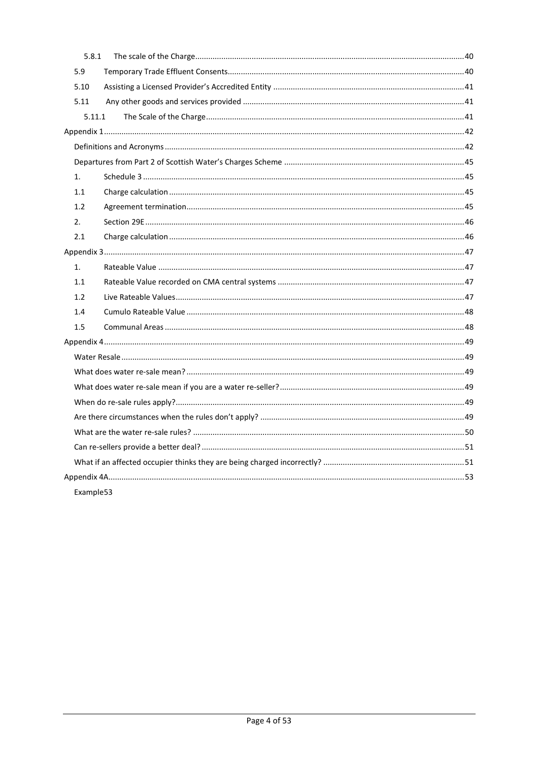| 5.8.1     |  |  |  |  |  |
|-----------|--|--|--|--|--|
| 5.9       |  |  |  |  |  |
| 5.10      |  |  |  |  |  |
| 5.11      |  |  |  |  |  |
| 5.11.1    |  |  |  |  |  |
|           |  |  |  |  |  |
|           |  |  |  |  |  |
|           |  |  |  |  |  |
| 1.        |  |  |  |  |  |
| 1.1       |  |  |  |  |  |
| 1.2       |  |  |  |  |  |
| 2.        |  |  |  |  |  |
| 2.1       |  |  |  |  |  |
|           |  |  |  |  |  |
| 1.        |  |  |  |  |  |
| 1.1       |  |  |  |  |  |
| 1.2       |  |  |  |  |  |
| 1.4       |  |  |  |  |  |
| 1.5       |  |  |  |  |  |
|           |  |  |  |  |  |
|           |  |  |  |  |  |
|           |  |  |  |  |  |
|           |  |  |  |  |  |
|           |  |  |  |  |  |
|           |  |  |  |  |  |
|           |  |  |  |  |  |
|           |  |  |  |  |  |
|           |  |  |  |  |  |
|           |  |  |  |  |  |
| Example53 |  |  |  |  |  |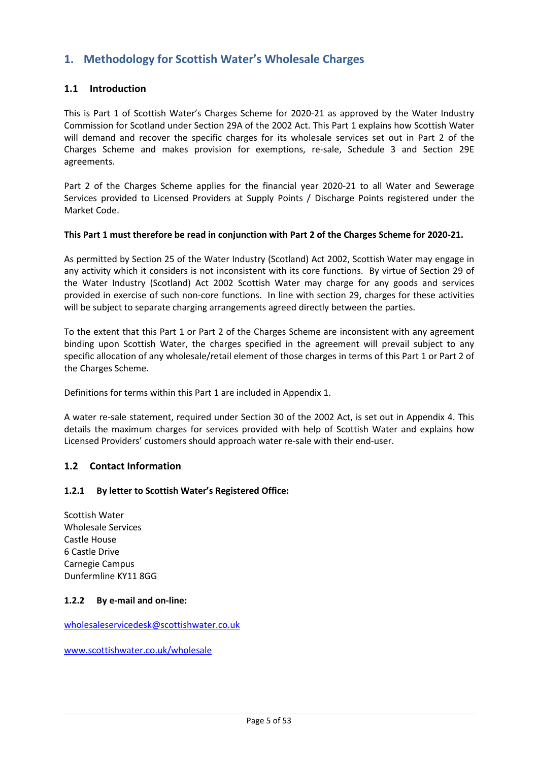# 1. Methodology for Scottish Water's Wholesale Charges

# 1.1 Introduction

This is Part 1 of Scottish Water's Charges Scheme for 2020-21 as approved by the Water Industry Commission for Scotland under Section 29A of the 2002 Act. This Part 1 explains how Scottish Water will demand and recover the specific charges for its wholesale services set out in Part 2 of the Charges Scheme and makes provision for exemptions, re-sale, Schedule 3 and Section 29E agreements.

Part 2 of the Charges Scheme applies for the financial year 2020-21 to all Water and Sewerage Services provided to Licensed Providers at Supply Points / Discharge Points registered under the Market Code.

#### This Part 1 must therefore be read in conjunction with Part 2 of the Charges Scheme for 2020-21.

As permitted by Section 25 of the Water Industry (Scotland) Act 2002, Scottish Water may engage in any activity which it considers is not inconsistent with its core functions. By virtue of Section 29 of the Water Industry (Scotland) Act 2002 Scottish Water may charge for any goods and services provided in exercise of such non-core functions. In line with section 29, charges for these activities will be subject to separate charging arrangements agreed directly between the parties.

To the extent that this Part 1 or Part 2 of the Charges Scheme are inconsistent with any agreement binding upon Scottish Water, the charges specified in the agreement will prevail subject to any specific allocation of any wholesale/retail element of those charges in terms of this Part 1 or Part 2 of the Charges Scheme.

Definitions for terms within this Part 1 are included in Appendix 1.

A water re-sale statement, required under Section 30 of the 2002 Act, is set out in Appendix 4. This details the maximum charges for services provided with help of Scottish Water and explains how Licensed Providers' customers should approach water re-sale with their end-user.

#### 1.2 Contact Information

#### 1.2.1 By letter to Scottish Water's Registered Office:

Scottish Water Wholesale Services Castle House 6 Castle Drive Carnegie Campus Dunfermline KY11 8GG

#### 1.2.2 By e-mail and on-line:

wholesaleservicedesk@scottishwater.co.uk

www.scottishwater.co.uk/wholesale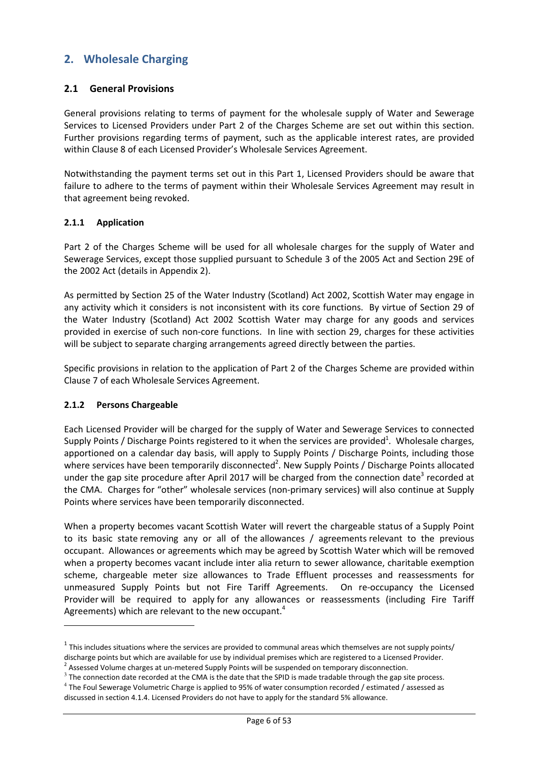# 2. Wholesale Charging

# 2.1 General Provisions

General provisions relating to terms of payment for the wholesale supply of Water and Sewerage Services to Licensed Providers under Part 2 of the Charges Scheme are set out within this section. Further provisions regarding terms of payment, such as the applicable interest rates, are provided within Clause 8 of each Licensed Provider's Wholesale Services Agreement.

Notwithstanding the payment terms set out in this Part 1, Licensed Providers should be aware that failure to adhere to the terms of payment within their Wholesale Services Agreement may result in that agreement being revoked.

#### 2.1.1 Application

Part 2 of the Charges Scheme will be used for all wholesale charges for the supply of Water and Sewerage Services, except those supplied pursuant to Schedule 3 of the 2005 Act and Section 29E of the 2002 Act (details in Appendix 2).

As permitted by Section 25 of the Water Industry (Scotland) Act 2002, Scottish Water may engage in any activity which it considers is not inconsistent with its core functions. By virtue of Section 29 of the Water Industry (Scotland) Act 2002 Scottish Water may charge for any goods and services provided in exercise of such non-core functions. In line with section 29, charges for these activities will be subject to separate charging arrangements agreed directly between the parties.

Specific provisions in relation to the application of Part 2 of the Charges Scheme are provided within Clause 7 of each Wholesale Services Agreement.

#### 2.1.2 Persons Chargeable

Each Licensed Provider will be charged for the supply of Water and Sewerage Services to connected Supply Points / Discharge Points registered to it when the services are provided<sup>1</sup>. Wholesale charges, apportioned on a calendar day basis, will apply to Supply Points / Discharge Points, including those where services have been temporarily disconnected<sup>2</sup>. New Supply Points / Discharge Points allocated under the gap site procedure after April 2017 will be charged from the connection date<sup>3</sup> recorded at the CMA. Charges for "other" wholesale services (non-primary services) will also continue at Supply Points where services have been temporarily disconnected.

When a property becomes vacant Scottish Water will revert the chargeable status of a Supply Point to its basic state removing any or all of the allowances / agreements relevant to the previous occupant. Allowances or agreements which may be agreed by Scottish Water which will be removed when a property becomes vacant include inter alia return to sewer allowance, charitable exemption scheme, chargeable meter size allowances to Trade Effluent processes and reassessments for unmeasured Supply Points but not Fire Tariff Agreements. On re-occupancy the Licensed Provider will be required to apply for any allowances or reassessments (including Fire Tariff Agreements) which are relevant to the new occupant.<sup>4</sup>

 $^1$  This includes situations where the services are provided to communal areas which themselves are not supply points/ discharge points but which are available for use by individual premises which are registered to a Licensed Provider.

<sup>&</sup>lt;sup>2</sup> Assessed Volume charges at un-metered Supply Points will be suspended on temporary disconnection.

 $3$  The connection date recorded at the CMA is the date that the SPID is made tradable through the gap site process. 4 The Foul Sewerage Volumetric Charge is applied to 95% of water consumption recorded / estimated / assessed as discussed in section 4.1.4. Licensed Providers do not have to apply for the standard 5% allowance.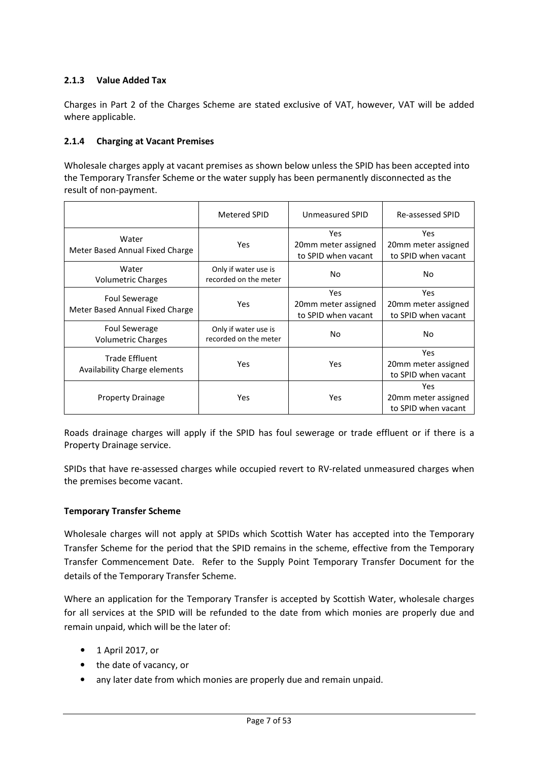# 2.1.3 Value Added Tax

Charges in Part 2 of the Charges Scheme are stated exclusive of VAT, however, VAT will be added where applicable.

#### 2.1.4 Charging at Vacant Premises

Wholesale charges apply at vacant premises as shown below unless the SPID has been accepted into the Temporary Transfer Scheme or the water supply has been permanently disconnected as the result of non-payment.

|                                                   | Metered SPID                                  | Unmeasured SPID                                          | Re-assessed SPID                                         |
|---------------------------------------------------|-----------------------------------------------|----------------------------------------------------------|----------------------------------------------------------|
| Water<br>Meter Based Annual Fixed Charge          | Yes                                           | <b>Yes</b><br>20mm meter assigned<br>to SPID when vacant | <b>Yes</b><br>20mm meter assigned<br>to SPID when vacant |
| Water<br><b>Volumetric Charges</b>                | Only if water use is<br>recorded on the meter | No                                                       | No.                                                      |
| Foul Sewerage<br>Meter Based Annual Fixed Charge  | Yes                                           | <b>Yes</b><br>20mm meter assigned<br>to SPID when vacant | Yes<br>20mm meter assigned<br>to SPID when vacant        |
| <b>Foul Sewerage</b><br><b>Volumetric Charges</b> | Only if water use is<br>recorded on the meter | N <sub>o</sub>                                           | No.                                                      |
| Trade Effluent<br>Availability Charge elements    | Yes                                           | Yes                                                      | Yes<br>20mm meter assigned<br>to SPID when vacant        |
| <b>Property Drainage</b>                          | Yes                                           | Yes                                                      | <b>Yes</b><br>20mm meter assigned<br>to SPID when vacant |

Roads drainage charges will apply if the SPID has foul sewerage or trade effluent or if there is a Property Drainage service.

SPIDs that have re-assessed charges while occupied revert to RV-related unmeasured charges when the premises become vacant.

#### Temporary Transfer Scheme

Wholesale charges will not apply at SPIDs which Scottish Water has accepted into the Temporary Transfer Scheme for the period that the SPID remains in the scheme, effective from the Temporary Transfer Commencement Date. Refer to the Supply Point Temporary Transfer Document for the details of the Temporary Transfer Scheme.

Where an application for the Temporary Transfer is accepted by Scottish Water, wholesale charges for all services at the SPID will be refunded to the date from which monies are properly due and remain unpaid, which will be the later of:

- 1 April 2017, or
- the date of vacancy, or
- any later date from which monies are properly due and remain unpaid.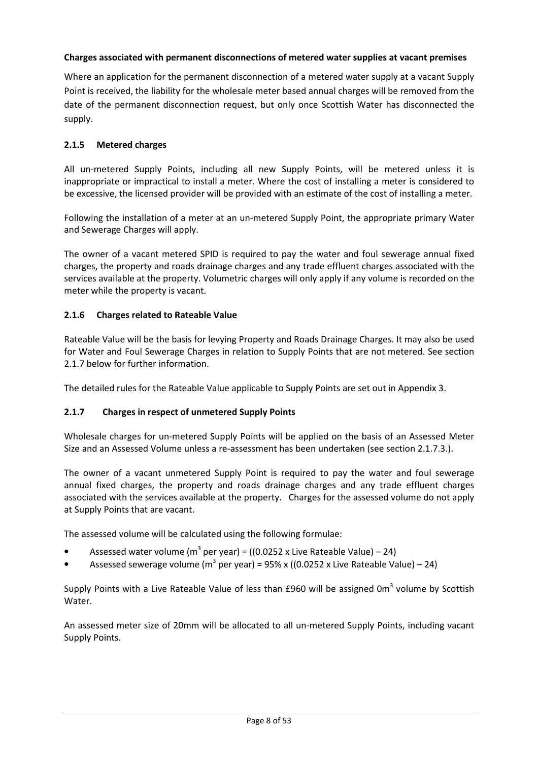# Charges associated with permanent disconnections of metered water supplies at vacant premises

Where an application for the permanent disconnection of a metered water supply at a vacant Supply Point is received, the liability for the wholesale meter based annual charges will be removed from the date of the permanent disconnection request, but only once Scottish Water has disconnected the supply.

# 2.1.5 Metered charges

All un-metered Supply Points, including all new Supply Points, will be metered unless it is inappropriate or impractical to install a meter. Where the cost of installing a meter is considered to be excessive, the licensed provider will be provided with an estimate of the cost of installing a meter.

Following the installation of a meter at an un-metered Supply Point, the appropriate primary Water and Sewerage Charges will apply.

The owner of a vacant metered SPID is required to pay the water and foul sewerage annual fixed charges, the property and roads drainage charges and any trade effluent charges associated with the services available at the property. Volumetric charges will only apply if any volume is recorded on the meter while the property is vacant.

# 2.1.6 Charges related to Rateable Value

Rateable Value will be the basis for levying Property and Roads Drainage Charges. It may also be used for Water and Foul Sewerage Charges in relation to Supply Points that are not metered. See section 2.1.7 below for further information.

The detailed rules for the Rateable Value applicable to Supply Points are set out in Appendix 3.

#### 2.1.7 Charges in respect of unmetered Supply Points

Wholesale charges for un-metered Supply Points will be applied on the basis of an Assessed Meter Size and an Assessed Volume unless a re-assessment has been undertaken (see section 2.1.7.3.).

The owner of a vacant unmetered Supply Point is required to pay the water and foul sewerage annual fixed charges, the property and roads drainage charges and any trade effluent charges associated with the services available at the property. Charges for the assessed volume do not apply at Supply Points that are vacant.

The assessed volume will be calculated using the following formulae:

- Assessed water volume (m<sup>3</sup> per year) = ((0.0252 x Live Rateable Value) 24)
- Assessed sewerage volume ( $m^3$  per year) = 95% x ((0.0252 x Live Rateable Value) 24)

Supply Points with a Live Rateable Value of less than £960 will be assigned 0m<sup>3</sup> volume by Scottish Water.

An assessed meter size of 20mm will be allocated to all un-metered Supply Points, including vacant Supply Points.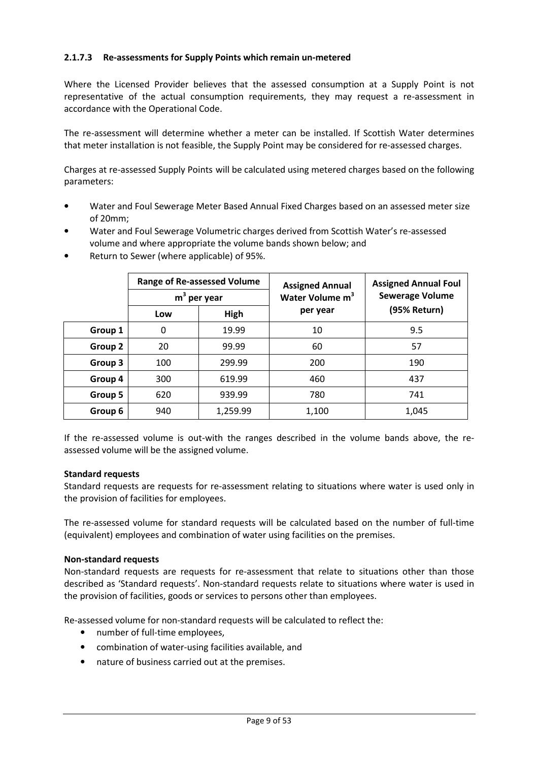# 2.1.7.3 Re-assessments for Supply Points which remain un-metered

Where the Licensed Provider believes that the assessed consumption at a Supply Point is not representative of the actual consumption requirements, they may request a re-assessment in accordance with the Operational Code.

The re-assessment will determine whether a meter can be installed. If Scottish Water determines that meter installation is not feasible, the Supply Point may be considered for re-assessed charges.

Charges at re-assessed Supply Points will be calculated using metered charges based on the following parameters:

- Water and Foul Sewerage Meter Based Annual Fixed Charges based on an assessed meter size of 20mm;
- Water and Foul Sewerage Volumetric charges derived from Scottish Water's re-assessed volume and where appropriate the volume bands shown below; and

|         | <b>Range of Re-assessed Volume</b><br>$m3$ per year |          | <b>Assigned Annual</b>      | <b>Assigned Annual Foul</b><br><b>Sewerage Volume</b> |  |
|---------|-----------------------------------------------------|----------|-----------------------------|-------------------------------------------------------|--|
|         |                                                     |          | Water Volume m <sup>3</sup> |                                                       |  |
|         | Low                                                 | High     | per year                    | (95% Return)                                          |  |
| Group 1 | 0                                                   | 19.99    | 10                          | 9.5                                                   |  |
| Group 2 | 20                                                  | 99.99    | 60                          | 57                                                    |  |
| Group 3 | 100                                                 | 299.99   | 200                         | 190                                                   |  |
| Group 4 | 300                                                 | 619.99   | 460                         | 437                                                   |  |
| Group 5 | 620                                                 | 939.99   | 780                         | 741                                                   |  |
| Group 6 | 940                                                 | 1,259.99 | 1,100                       | 1,045                                                 |  |

• Return to Sewer (where applicable) of 95%.

If the re-assessed volume is out-with the ranges described in the volume bands above, the reassessed volume will be the assigned volume.

#### Standard requests

Standard requests are requests for re-assessment relating to situations where water is used only in the provision of facilities for employees.

The re-assessed volume for standard requests will be calculated based on the number of full-time (equivalent) employees and combination of water using facilities on the premises.

#### Non-standard requests

Non-standard requests are requests for re-assessment that relate to situations other than those described as 'Standard requests'. Non-standard requests relate to situations where water is used in the provision of facilities, goods or services to persons other than employees.

Re-assessed volume for non-standard requests will be calculated to reflect the:

- number of full-time employees,
- combination of water-using facilities available, and
- nature of business carried out at the premises.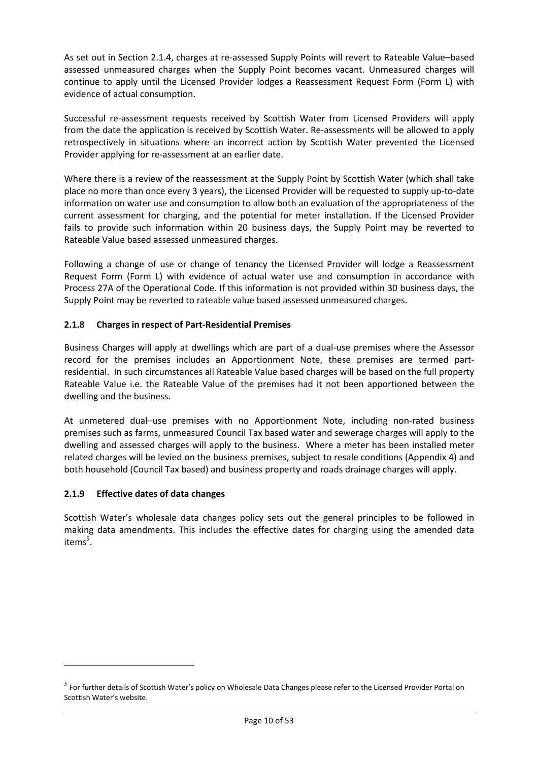As set out in Section 2.1.4, charges at re-assessed Supply Points will revert to Rateable Value–based assessed unmeasured charges when the Supply Point becomes vacant. Unmeasured charges will continue to apply until the Licensed Provider lodges a Reassessment Request Form (Form L) with evidence of actual consumption.

Successful re-assessment requests received by Scottish Water from Licensed Providers will apply from the date the application is received by Scottish Water. Re-assessments will be allowed to apply retrospectively in situations where an incorrect action by Scottish Water prevented the Licensed Provider applying for re-assessment at an earlier date.

Where there is a review of the reassessment at the Supply Point by Scottish Water (which shall take place no more than once every 3 years), the Licensed Provider will be requested to supply up-to-date information on water use and consumption to allow both an evaluation of the appropriateness of the current assessment for charging, and the potential for meter installation. If the Licensed Provider fails to provide such information within 20 business days, the Supply Point may be reverted to Rateable Value based assessed unmeasured charges.

Following a change of use or change of tenancy the Licensed Provider will lodge a Reassessment Request Form (Form L) with evidence of actual water use and consumption in accordance with Process 27A of the Operational Code. If this information is not provided within 30 business days, the Supply Point may be reverted to rateable value based assessed unmeasured charges.

# 2.1.8 Charges in respect of Part-Residential Premises

Business Charges will apply at dwellings which are part of a dual-use premises where the Assessor record for the premises includes an Apportionment Note, these premises are termed partresidential. In such circumstances all Rateable Value based charges will be based on the full property Rateable Value i.e. the Rateable Value of the premises had it not been apportioned between the dwelling and the business.

At unmetered dual–use premises with no Apportionment Note, including non-rated business premises such as farms, unmeasured Council Tax based water and sewerage charges will apply to the dwelling and assessed charges will apply to the business. Where a meter has been installed meter related charges will be levied on the business premises, subject to resale conditions (Appendix 4) and both household (Council Tax based) and business property and roads drainage charges will apply.

#### 2.1.9 Effective dates of data changes

 $\overline{a}$ 

Scottish Water's wholesale data changes policy sets out the general principles to be followed in making data amendments. This includes the effective dates for charging using the amended data items<sup>5</sup>.

 $<sup>5</sup>$  For further details of Scottish Water's policy on Wholesale Data Changes please refer to the Licensed Provider Portal on</sup> Scottish Water's website.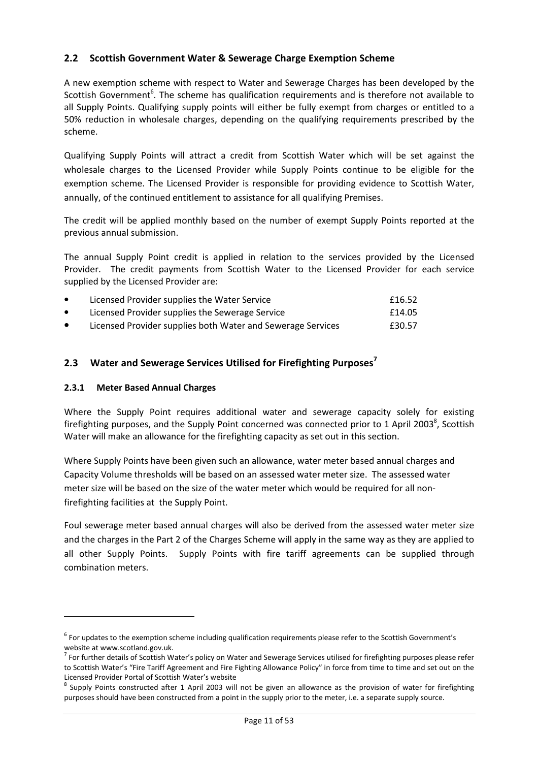# 2.2 Scottish Government Water & Sewerage Charge Exemption Scheme

A new exemption scheme with respect to Water and Sewerage Charges has been developed by the Scottish Government<sup>6</sup>. The scheme has qualification requirements and is therefore not available to all Supply Points. Qualifying supply points will either be fully exempt from charges or entitled to a 50% reduction in wholesale charges, depending on the qualifying requirements prescribed by the scheme.

Qualifying Supply Points will attract a credit from Scottish Water which will be set against the wholesale charges to the Licensed Provider while Supply Points continue to be eligible for the exemption scheme. The Licensed Provider is responsible for providing evidence to Scottish Water, annually, of the continued entitlement to assistance for all qualifying Premises.

The credit will be applied monthly based on the number of exempt Supply Points reported at the previous annual submission.

The annual Supply Point credit is applied in relation to the services provided by the Licensed Provider. The credit payments from Scottish Water to the Licensed Provider for each service supplied by the Licensed Provider are:

| $\bullet$ | Licensed Provider supplies the Water Service                | £16.52 |
|-----------|-------------------------------------------------------------|--------|
| $\bullet$ | Licensed Provider supplies the Sewerage Service             | £14.05 |
|           | Licensed Provider supplies both Water and Sewerage Services | £30.57 |

#### 2.3 Water and Sewerage Services Utilised for Firefighting Purposes<sup>7</sup>

#### 2.3.1 Meter Based Annual Charges

Where the Supply Point requires additional water and sewerage capacity solely for existing firefighting purposes, and the Supply Point concerned was connected prior to 1 April 2003<sup>8</sup>, Scottish Water will make an allowance for the firefighting capacity as set out in this section.

Where Supply Points have been given such an allowance, water meter based annual charges and Capacity Volume thresholds will be based on an assessed water meter size. The assessed water meter size will be based on the size of the water meter which would be required for all nonfirefighting facilities at the Supply Point.

Foul sewerage meter based annual charges will also be derived from the assessed water meter size and the charges in the Part 2 of the Charges Scheme will apply in the same way as they are applied to all other Supply Points. Supply Points with fire tariff agreements can be supplied through combination meters.

 $^6$  For updates to the exemption scheme including qualification requirements please refer to the Scottish Government's website at www.scotland.gov.uk.

 $^7$  For further details of Scottish Water's policy on Water and Sewerage Services utilised for firefighting purposes please refer to Scottish Water's "Fire Tariff Agreement and Fire Fighting Allowance Policy" in force from time to time and set out on the Licensed Provider Portal of Scottish Water's website

 $^8$  Supply Points constructed after 1 April 2003 will not be given an allowance as the provision of water for firefighting purposes should have been constructed from a point in the supply prior to the meter, i.e. a separate supply source.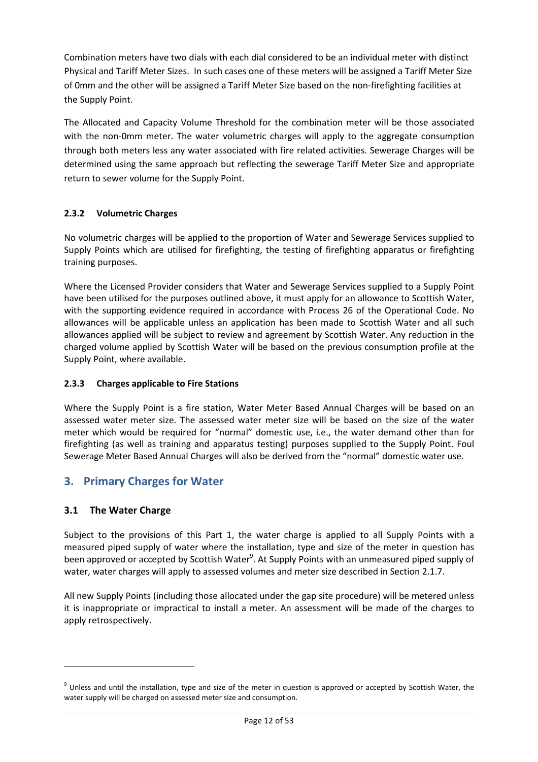Combination meters have two dials with each dial considered to be an individual meter with distinct Physical and Tariff Meter Sizes. In such cases one of these meters will be assigned a Tariff Meter Size of 0mm and the other will be assigned a Tariff Meter Size based on the non-firefighting facilities at the Supply Point.

The Allocated and Capacity Volume Threshold for the combination meter will be those associated with the non-0mm meter. The water volumetric charges will apply to the aggregate consumption through both meters less any water associated with fire related activities. Sewerage Charges will be determined using the same approach but reflecting the sewerage Tariff Meter Size and appropriate return to sewer volume for the Supply Point.

# 2.3.2 Volumetric Charges

No volumetric charges will be applied to the proportion of Water and Sewerage Services supplied to Supply Points which are utilised for firefighting, the testing of firefighting apparatus or firefighting training purposes.

Where the Licensed Provider considers that Water and Sewerage Services supplied to a Supply Point have been utilised for the purposes outlined above, it must apply for an allowance to Scottish Water, with the supporting evidence required in accordance with Process 26 of the Operational Code. No allowances will be applicable unless an application has been made to Scottish Water and all such allowances applied will be subject to review and agreement by Scottish Water. Any reduction in the charged volume applied by Scottish Water will be based on the previous consumption profile at the Supply Point, where available.

### 2.3.3 Charges applicable to Fire Stations

Where the Supply Point is a fire station, Water Meter Based Annual Charges will be based on an assessed water meter size. The assessed water meter size will be based on the size of the water meter which would be required for "normal" domestic use, i.e., the water demand other than for firefighting (as well as training and apparatus testing) purposes supplied to the Supply Point. Foul Sewerage Meter Based Annual Charges will also be derived from the "normal" domestic water use.

# 3. Primary Charges for Water

# 3.1 The Water Charge

 $\overline{a}$ 

Subject to the provisions of this Part 1, the water charge is applied to all Supply Points with a measured piped supply of water where the installation, type and size of the meter in question has been approved or accepted by Scottish Water $^9$ . At Supply Points with an unmeasured piped supply of water, water charges will apply to assessed volumes and meter size described in Section 2.1.7.

All new Supply Points (including those allocated under the gap site procedure) will be metered unless it is inappropriate or impractical to install a meter. An assessment will be made of the charges to apply retrospectively.

 $9$  Unless and until the installation, type and size of the meter in question is approved or accepted by Scottish Water, the water supply will be charged on assessed meter size and consumption.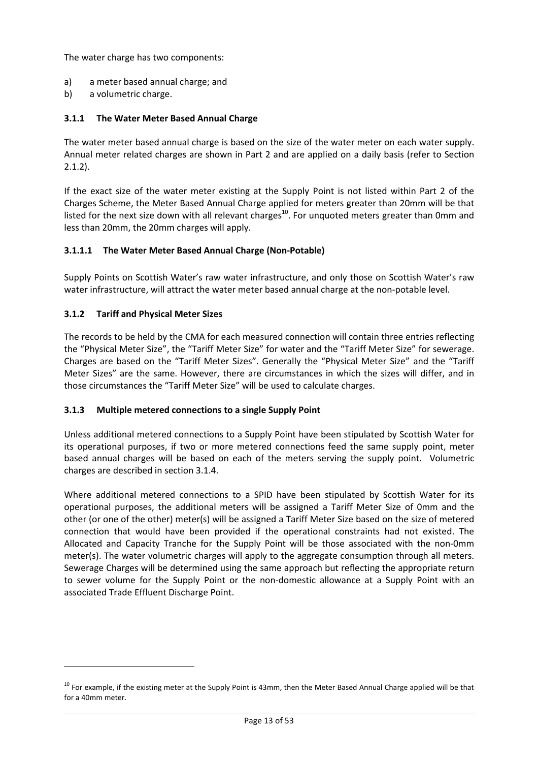The water charge has two components:

- a) a meter based annual charge; and
- b) a volumetric charge.

#### 3.1.1 The Water Meter Based Annual Charge

The water meter based annual charge is based on the size of the water meter on each water supply. Annual meter related charges are shown in Part 2 and are applied on a daily basis (refer to Section 2.1.2).

If the exact size of the water meter existing at the Supply Point is not listed within Part 2 of the Charges Scheme, the Meter Based Annual Charge applied for meters greater than 20mm will be that listed for the next size down with all relevant charges<sup>10</sup>. For unquoted meters greater than 0mm and less than 20mm, the 20mm charges will apply.

#### 3.1.1.1 The Water Meter Based Annual Charge (Non-Potable)

Supply Points on Scottish Water's raw water infrastructure, and only those on Scottish Water's raw water infrastructure, will attract the water meter based annual charge at the non-potable level.

#### 3.1.2 Tariff and Physical Meter Sizes

 $\overline{a}$ 

The records to be held by the CMA for each measured connection will contain three entries reflecting the "Physical Meter Size", the "Tariff Meter Size" for water and the "Tariff Meter Size" for sewerage. Charges are based on the "Tariff Meter Sizes". Generally the "Physical Meter Size" and the "Tariff Meter Sizes" are the same. However, there are circumstances in which the sizes will differ, and in those circumstances the "Tariff Meter Size" will be used to calculate charges.

#### 3.1.3 Multiple metered connections to a single Supply Point

Unless additional metered connections to a Supply Point have been stipulated by Scottish Water for its operational purposes, if two or more metered connections feed the same supply point, meter based annual charges will be based on each of the meters serving the supply point. Volumetric charges are described in section 3.1.4.

Where additional metered connections to a SPID have been stipulated by Scottish Water for its operational purposes, the additional meters will be assigned a Tariff Meter Size of 0mm and the other (or one of the other) meter(s) will be assigned a Tariff Meter Size based on the size of metered connection that would have been provided if the operational constraints had not existed. The Allocated and Capacity Tranche for the Supply Point will be those associated with the non-0mm meter(s). The water volumetric charges will apply to the aggregate consumption through all meters. Sewerage Charges will be determined using the same approach but reflecting the appropriate return to sewer volume for the Supply Point or the non-domestic allowance at a Supply Point with an associated Trade Effluent Discharge Point.

<sup>&</sup>lt;sup>10</sup> For example, if the existing meter at the Supply Point is 43mm, then the Meter Based Annual Charge applied will be that for a 40mm meter.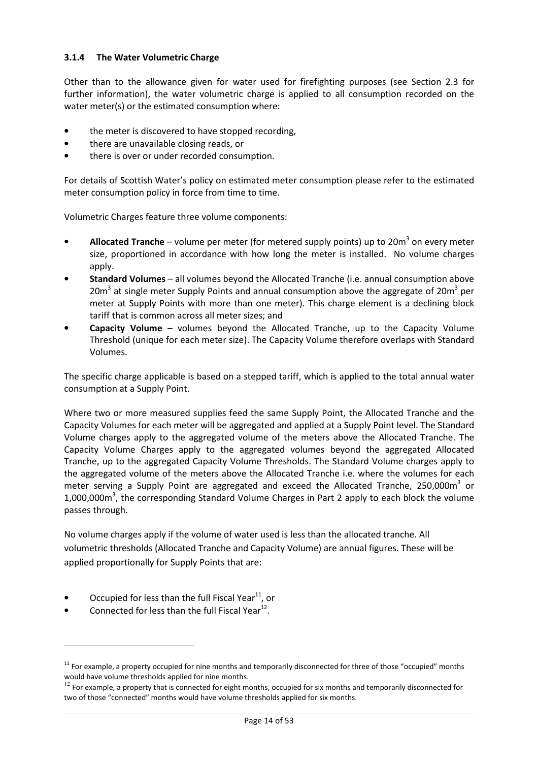#### 3.1.4 The Water Volumetric Charge

Other than to the allowance given for water used for firefighting purposes (see Section 2.3 for further information), the water volumetric charge is applied to all consumption recorded on the water meter(s) or the estimated consumption where:

- the meter is discovered to have stopped recording,
- there are unavailable closing reads, or
- there is over or under recorded consumption.

For details of Scottish Water's policy on estimated meter consumption please refer to the estimated meter consumption policy in force from time to time.

Volumetric Charges feature three volume components:

- Allocated Tranche volume per meter (for metered supply points) up to 20 $m^3$  on every meter size, proportioned in accordance with how long the meter is installed. No volume charges apply.
- Standard Volumes all volumes beyond the Allocated Tranche (i.e. annual consumption above  $20m<sup>3</sup>$  at single meter Supply Points and annual consumption above the aggregate of 20 $m<sup>3</sup>$  per meter at Supply Points with more than one meter). This charge element is a declining block tariff that is common across all meter sizes; and
- Capacity Volume volumes beyond the Allocated Tranche, up to the Capacity Volume Threshold (unique for each meter size). The Capacity Volume therefore overlaps with Standard Volumes.

The specific charge applicable is based on a stepped tariff, which is applied to the total annual water consumption at a Supply Point.

Where two or more measured supplies feed the same Supply Point, the Allocated Tranche and the Capacity Volumes for each meter will be aggregated and applied at a Supply Point level. The Standard Volume charges apply to the aggregated volume of the meters above the Allocated Tranche. The Capacity Volume Charges apply to the aggregated volumes beyond the aggregated Allocated Tranche, up to the aggregated Capacity Volume Thresholds. The Standard Volume charges apply to the aggregated volume of the meters above the Allocated Tranche i.e. where the volumes for each meter serving a Supply Point are aggregated and exceed the Allocated Tranche, 250,000m<sup>3</sup> or 1,000,000 $m<sup>3</sup>$ , the corresponding Standard Volume Charges in Part 2 apply to each block the volume passes through.

No volume charges apply if the volume of water used is less than the allocated tranche. All volumetric thresholds (Allocated Tranche and Capacity Volume) are annual figures. These will be applied proportionally for Supply Points that are:

- Occupied for less than the full Fiscal Year $^{11}$ , or
- Connected for less than the full Fiscal Year $^{12}$ .

 $11$  For example, a property occupied for nine months and temporarily disconnected for three of those "occupied" months would have volume thresholds applied for nine months.

 $12$  For example, a property that is connected for eight months, occupied for six months and temporarily disconnected for two of those "connected" months would have volume thresholds applied for six months.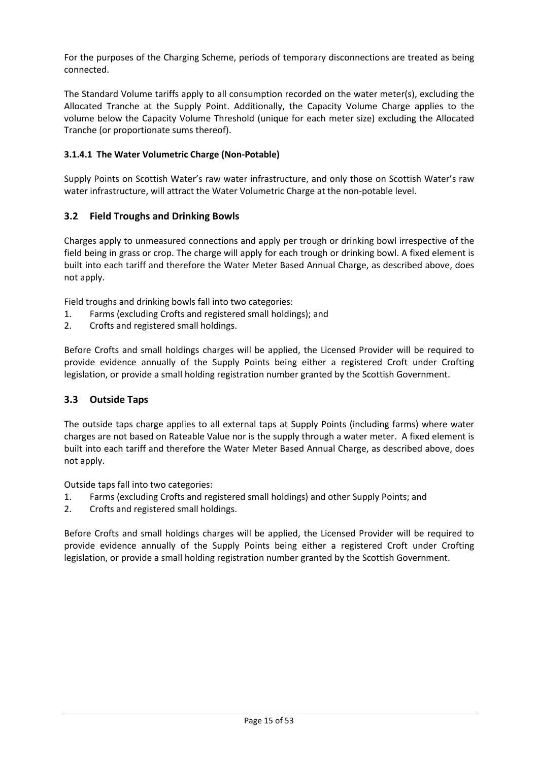For the purposes of the Charging Scheme, periods of temporary disconnections are treated as being connected.

The Standard Volume tariffs apply to all consumption recorded on the water meter(s), excluding the Allocated Tranche at the Supply Point. Additionally, the Capacity Volume Charge applies to the volume below the Capacity Volume Threshold (unique for each meter size) excluding the Allocated Tranche (or proportionate sums thereof).

# 3.1.4.1 The Water Volumetric Charge (Non-Potable)

Supply Points on Scottish Water's raw water infrastructure, and only those on Scottish Water's raw water infrastructure, will attract the Water Volumetric Charge at the non-potable level.

# 3.2 Field Troughs and Drinking Bowls

Charges apply to unmeasured connections and apply per trough or drinking bowl irrespective of the field being in grass or crop. The charge will apply for each trough or drinking bowl. A fixed element is built into each tariff and therefore the Water Meter Based Annual Charge, as described above, does not apply.

Field troughs and drinking bowls fall into two categories:

- 1. Farms (excluding Crofts and registered small holdings); and
- 2. Crofts and registered small holdings.

Before Crofts and small holdings charges will be applied, the Licensed Provider will be required to provide evidence annually of the Supply Points being either a registered Croft under Crofting legislation, or provide a small holding registration number granted by the Scottish Government.

#### 3.3 Outside Taps

The outside taps charge applies to all external taps at Supply Points (including farms) where water charges are not based on Rateable Value nor is the supply through a water meter. A fixed element is built into each tariff and therefore the Water Meter Based Annual Charge, as described above, does not apply.

Outside taps fall into two categories:

- 1. Farms (excluding Crofts and registered small holdings) and other Supply Points; and
- 2. Crofts and registered small holdings.

Before Crofts and small holdings charges will be applied, the Licensed Provider will be required to provide evidence annually of the Supply Points being either a registered Croft under Crofting legislation, or provide a small holding registration number granted by the Scottish Government.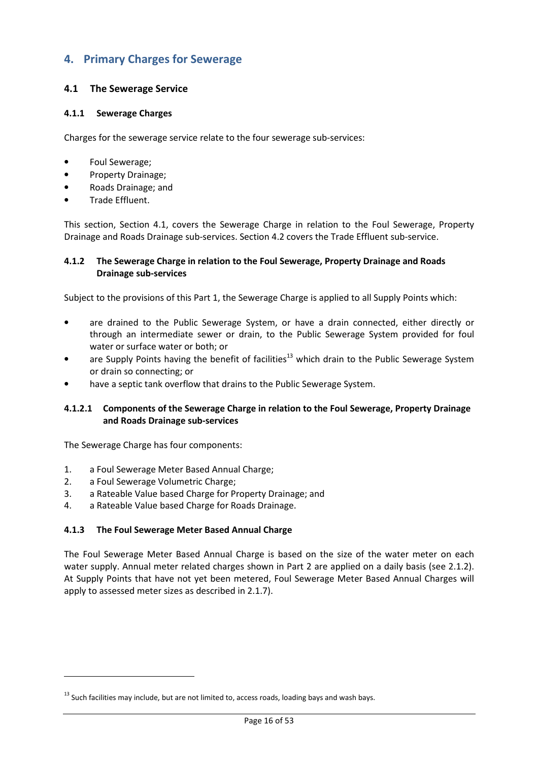# 4. Primary Charges for Sewerage

### 4.1 The Sewerage Service

#### 4.1.1 Sewerage Charges

Charges for the sewerage service relate to the four sewerage sub-services:

- Foul Sewerage;
- Property Drainage;
- Roads Drainage; and
- Trade Effluent.

This section, Section 4.1, covers the Sewerage Charge in relation to the Foul Sewerage, Property Drainage and Roads Drainage sub-services. Section 4.2 covers the Trade Effluent sub-service.

#### 4.1.2 The Sewerage Charge in relation to the Foul Sewerage, Property Drainage and Roads Drainage sub-services

Subject to the provisions of this Part 1, the Sewerage Charge is applied to all Supply Points which:

- are drained to the Public Sewerage System, or have a drain connected, either directly or through an intermediate sewer or drain, to the Public Sewerage System provided for foul water or surface water or both; or
- are Supply Points having the benefit of facilities<sup>13</sup> which drain to the Public Sewerage System or drain so connecting; or
- have a septic tank overflow that drains to the Public Sewerage System.

#### 4.1.2.1 Components of the Sewerage Charge in relation to the Foul Sewerage, Property Drainage and Roads Drainage sub-services

The Sewerage Charge has four components:

- 1. a Foul Sewerage Meter Based Annual Charge;
- 2. a Foul Sewerage Volumetric Charge;

- 3. a Rateable Value based Charge for Property Drainage; and
- 4. a Rateable Value based Charge for Roads Drainage.

#### 4.1.3 The Foul Sewerage Meter Based Annual Charge

The Foul Sewerage Meter Based Annual Charge is based on the size of the water meter on each water supply. Annual meter related charges shown in Part 2 are applied on a daily basis (see 2.1.2). At Supply Points that have not yet been metered, Foul Sewerage Meter Based Annual Charges will apply to assessed meter sizes as described in 2.1.7).

 $13$  Such facilities may include, but are not limited to, access roads, loading bays and wash bays.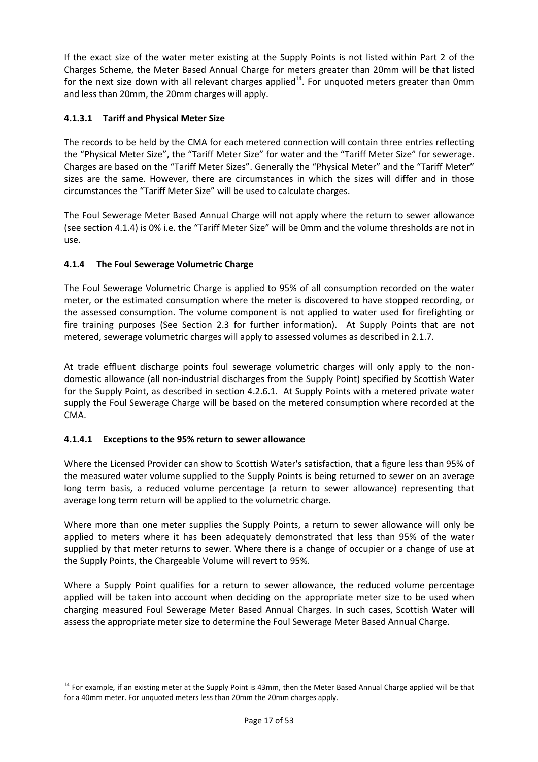If the exact size of the water meter existing at the Supply Points is not listed within Part 2 of the Charges Scheme, the Meter Based Annual Charge for meters greater than 20mm will be that listed for the next size down with all relevant charges applied<sup>14</sup>. For unquoted meters greater than 0mm and less than 20mm, the 20mm charges will apply.

# 4.1.3.1 Tariff and Physical Meter Size

The records to be held by the CMA for each metered connection will contain three entries reflecting the "Physical Meter Size", the "Tariff Meter Size" for water and the "Tariff Meter Size" for sewerage. Charges are based on the "Tariff Meter Sizes". Generally the "Physical Meter" and the "Tariff Meter" sizes are the same. However, there are circumstances in which the sizes will differ and in those circumstances the "Tariff Meter Size" will be used to calculate charges.

The Foul Sewerage Meter Based Annual Charge will not apply where the return to sewer allowance (see section 4.1.4) is 0% i.e. the "Tariff Meter Size" will be 0mm and the volume thresholds are not in use.

# 4.1.4 The Foul Sewerage Volumetric Charge

The Foul Sewerage Volumetric Charge is applied to 95% of all consumption recorded on the water meter, or the estimated consumption where the meter is discovered to have stopped recording, or the assessed consumption. The volume component is not applied to water used for firefighting or fire training purposes (See Section 2.3 for further information). At Supply Points that are not metered, sewerage volumetric charges will apply to assessed volumes as described in 2.1.7.

At trade effluent discharge points foul sewerage volumetric charges will only apply to the nondomestic allowance (all non-industrial discharges from the Supply Point) specified by Scottish Water for the Supply Point, as described in section 4.2.6.1. At Supply Points with a metered private water supply the Foul Sewerage Charge will be based on the metered consumption where recorded at the CMA.

#### 4.1.4.1 Exceptions to the 95% return to sewer allowance

 $\overline{a}$ 

Where the Licensed Provider can show to Scottish Water's satisfaction, that a figure less than 95% of the measured water volume supplied to the Supply Points is being returned to sewer on an average long term basis, a reduced volume percentage (a return to sewer allowance) representing that average long term return will be applied to the volumetric charge.

Where more than one meter supplies the Supply Points, a return to sewer allowance will only be applied to meters where it has been adequately demonstrated that less than 95% of the water supplied by that meter returns to sewer. Where there is a change of occupier or a change of use at the Supply Points, the Chargeable Volume will revert to 95%.

Where a Supply Point qualifies for a return to sewer allowance, the reduced volume percentage applied will be taken into account when deciding on the appropriate meter size to be used when charging measured Foul Sewerage Meter Based Annual Charges. In such cases, Scottish Water will assess the appropriate meter size to determine the Foul Sewerage Meter Based Annual Charge.

<sup>&</sup>lt;sup>14</sup> For example, if an existing meter at the Supply Point is 43mm, then the Meter Based Annual Charge applied will be that for a 40mm meter. For unquoted meters less than 20mm the 20mm charges apply.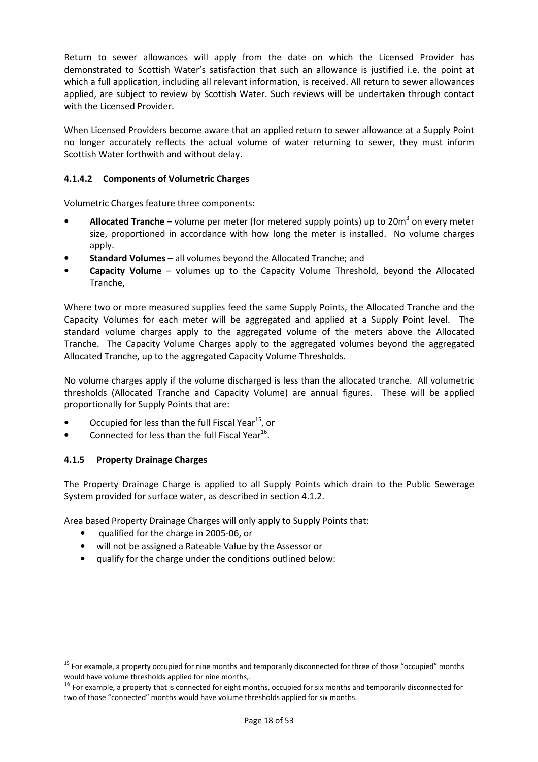Return to sewer allowances will apply from the date on which the Licensed Provider has demonstrated to Scottish Water's satisfaction that such an allowance is justified i.e. the point at which a full application, including all relevant information, is received. All return to sewer allowances applied, are subject to review by Scottish Water. Such reviews will be undertaken through contact with the Licensed Provider.

When Licensed Providers become aware that an applied return to sewer allowance at a Supply Point no longer accurately reflects the actual volume of water returning to sewer, they must inform Scottish Water forthwith and without delay.

### 4.1.4.2 Components of Volumetric Charges

Volumetric Charges feature three components:

- Allocated Tranche volume per meter (for metered supply points) up to 20m<sup>3</sup> on every meter size, proportioned in accordance with how long the meter is installed. No volume charges apply.
- Standard Volumes all volumes beyond the Allocated Tranche; and
- Capacity Volume volumes up to the Capacity Volume Threshold, beyond the Allocated Tranche,

Where two or more measured supplies feed the same Supply Points, the Allocated Tranche and the Capacity Volumes for each meter will be aggregated and applied at a Supply Point level. The standard volume charges apply to the aggregated volume of the meters above the Allocated Tranche. The Capacity Volume Charges apply to the aggregated volumes beyond the aggregated Allocated Tranche, up to the aggregated Capacity Volume Thresholds.

No volume charges apply if the volume discharged is less than the allocated tranche. All volumetric thresholds (Allocated Tranche and Capacity Volume) are annual figures. These will be applied proportionally for Supply Points that are:

- Occupied for less than the full Fiscal Year<sup>15</sup>, or
- Connected for less than the full Fiscal Year<sup>16</sup>.

#### 4.1.5 Property Drainage Charges

The Property Drainage Charge is applied to all Supply Points which drain to the Public Sewerage System provided for surface water, as described in section 4.1.2.

Area based Property Drainage Charges will only apply to Supply Points that:

- qualified for the charge in 2005-06, or
- will not be assigned a Rateable Value by the Assessor or
- qualify for the charge under the conditions outlined below:

<sup>&</sup>lt;sup>15</sup> For example, a property occupied for nine months and temporarily disconnected for three of those "occupied" months would have volume thresholds applied for nine months,.

 $16$  For example, a property that is connected for eight months, occupied for six months and temporarily disconnected for two of those "connected" months would have volume thresholds applied for six months.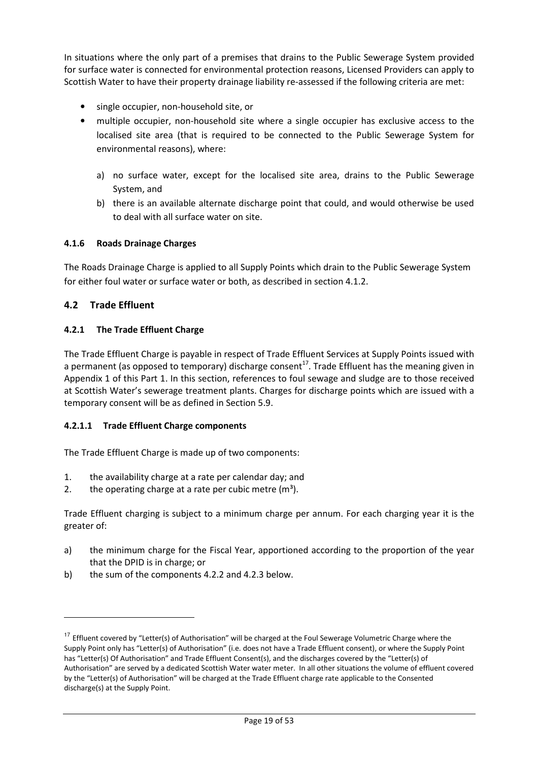In situations where the only part of a premises that drains to the Public Sewerage System provided for surface water is connected for environmental protection reasons, Licensed Providers can apply to Scottish Water to have their property drainage liability re-assessed if the following criteria are met:

- single occupier, non-household site, or
- multiple occupier, non-household site where a single occupier has exclusive access to the localised site area (that is required to be connected to the Public Sewerage System for environmental reasons), where:
	- a) no surface water, except for the localised site area, drains to the Public Sewerage System, and
	- b) there is an available alternate discharge point that could, and would otherwise be used to deal with all surface water on site.

#### 4.1.6 Roads Drainage Charges

The Roads Drainage Charge is applied to all Supply Points which drain to the Public Sewerage System for either foul water or surface water or both, as described in section 4.1.2.

#### 4.2 Trade Effluent

#### 4.2.1 The Trade Effluent Charge

The Trade Effluent Charge is payable in respect of Trade Effluent Services at Supply Points issued with a permanent (as opposed to temporary) discharge consent<sup>17</sup>. Trade Effluent has the meaning given in Appendix 1 of this Part 1. In this section, references to foul sewage and sludge are to those received at Scottish Water's sewerage treatment plants. Charges for discharge points which are issued with a temporary consent will be as defined in Section 5.9.

#### 4.2.1.1 Trade Effluent Charge components

The Trade Effluent Charge is made up of two components:

- 1. the availability charge at a rate per calendar day; and
- 2. the operating charge at a rate per cubic metre  $(m<sup>3</sup>)$ .

Trade Effluent charging is subject to a minimum charge per annum. For each charging year it is the greater of:

- a) the minimum charge for the Fiscal Year, apportioned according to the proportion of the year that the DPID is in charge; or
- b) the sum of the components 4.2.2 and 4.2.3 below.

<sup>&</sup>lt;sup>17</sup> Effluent covered by "Letter(s) of Authorisation" will be charged at the Foul Sewerage Volumetric Charge where the Supply Point only has "Letter(s) of Authorisation" (i.e. does not have a Trade Effluent consent), or where the Supply Point has "Letter(s) Of Authorisation" and Trade Effluent Consent(s), and the discharges covered by the "Letter(s) of Authorisation" are served by a dedicated Scottish Water water meter. In all other situations the volume of effluent covered by the "Letter(s) of Authorisation" will be charged at the Trade Effluent charge rate applicable to the Consented discharge(s) at the Supply Point.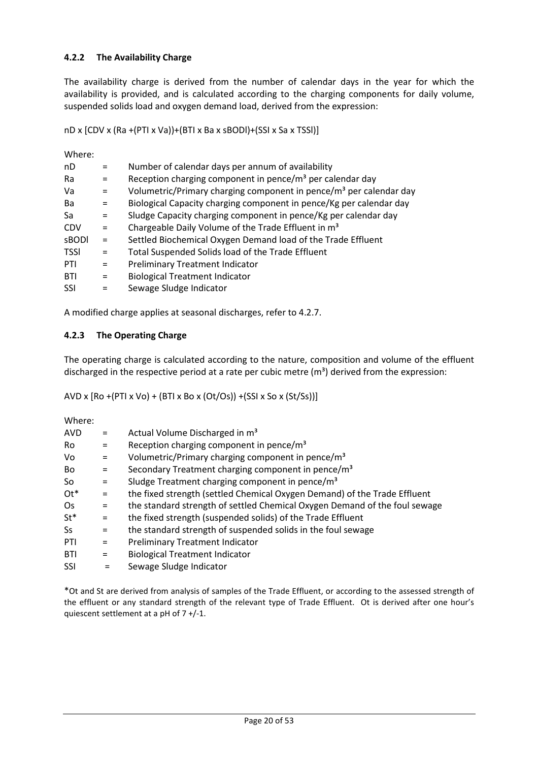# 4.2.2 The Availability Charge

The availability charge is derived from the number of calendar days in the year for which the availability is provided, and is calculated according to the charging components for daily volume, suspended solids load and oxygen demand load, derived from the expression:

nD x [CDV x (Ra +(PTI x Va))+(BTI x Ba x sBODl)+(SSI x Sa x TSSl)]

| Where:      |          |                                                                                |
|-------------|----------|--------------------------------------------------------------------------------|
| nD          | $=$      | Number of calendar days per annum of availability                              |
| Ra          | $=$      | Reception charging component in pence/m <sup>3</sup> per calendar day          |
| Va          | $=$      | Volumetric/Primary charging component in pence/m <sup>3</sup> per calendar day |
| Ba          | $=$      | Biological Capacity charging component in pence/Kg per calendar day            |
| Sa          | $=$      | Sludge Capacity charging component in pence/Kg per calendar day                |
| <b>CDV</b>  | $\equiv$ | Chargeable Daily Volume of the Trade Effluent in m <sup>3</sup>                |
| sBODI       | $\equiv$ | Settled Biochemical Oxygen Demand load of the Trade Effluent                   |
| <b>TSSI</b> | $=$      | Total Suspended Solids load of the Trade Effluent                              |
| PTI         | $=$      | <b>Preliminary Treatment Indicator</b>                                         |
| <b>BTI</b>  | $=$      | <b>Biological Treatment Indicator</b>                                          |
| SSI         | $=$      | Sewage Sludge Indicator                                                        |
|             |          |                                                                                |

A modified charge applies at seasonal discharges, refer to 4.2.7.

#### 4.2.3 The Operating Charge

The operating charge is calculated according to the nature, composition and volume of the effluent discharged in the respective period at a rate per cubic metre  $(m<sup>3</sup>)$  derived from the expression:

AVD x [Ro +(PTI x Vo) + (BTI x Bo x (Ot/Os)) +(SSI x So x (St/Ss))]

| Where:     |          |                                                                            |
|------------|----------|----------------------------------------------------------------------------|
| AVD        | $=$      | Actual Volume Discharged in m <sup>3</sup>                                 |
| Ro         | $=$      | Reception charging component in pence/m <sup>3</sup>                       |
| Vo         | $=$      | Volumetric/Primary charging component in pence/m <sup>3</sup>              |
| <b>Bo</b>  | $=$      | Secondary Treatment charging component in pence/m <sup>3</sup>             |
| So         | $\equiv$ | Sludge Treatment charging component in pence/m <sup>3</sup>                |
| $Ot^*$     | $=$      | the fixed strength (settled Chemical Oxygen Demand) of the Trade Effluent  |
| <b>Os</b>  | $=$      | the standard strength of settled Chemical Oxygen Demand of the foul sewage |
| $St*$      | $=$      | the fixed strength (suspended solids) of the Trade Effluent                |
| <b>Ss</b>  | $=$      | the standard strength of suspended solids in the foul sewage               |
| PTI        | $=$      | <b>Preliminary Treatment Indicator</b>                                     |
| <b>BTI</b> | $=$      | <b>Biological Treatment Indicator</b>                                      |
| <b>SSI</b> | Ξ        | Sewage Sludge Indicator                                                    |

\*Ot and St are derived from analysis of samples of the Trade Effluent, or according to the assessed strength of the effluent or any standard strength of the relevant type of Trade Effluent. Ot is derived after one hour's quiescent settlement at a pH of 7 +/-1.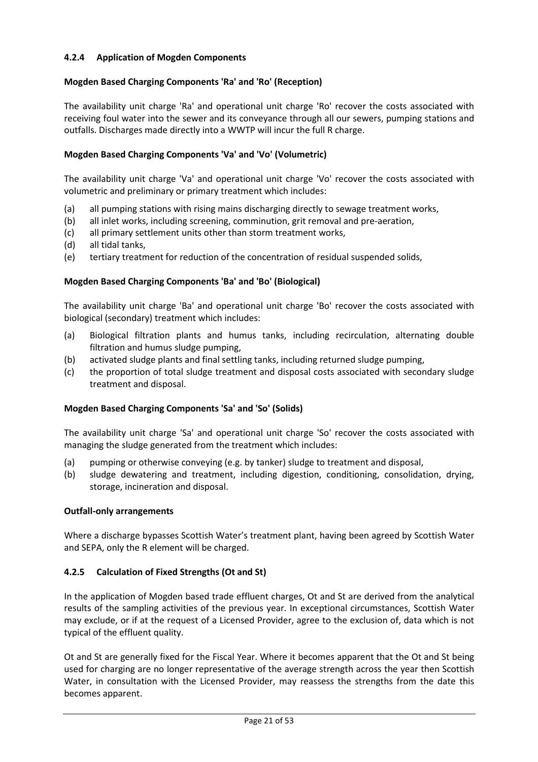#### 4.2.4 Application of Mogden Components

# Mogden Based Charging Components 'Ra' and 'Ro' (Reception)

The availability unit charge 'Ra' and operational unit charge 'Ro' recover the costs associated with receiving foul water into the sewer and its conveyance through all our sewers, pumping stations and outfalls. Discharges made directly into a WWTP will incur the full R charge.

### Mogden Based Charging Components 'Va' and 'Vo' (Volumetric)

The availability unit charge 'Va' and operational unit charge 'Vo' recover the costs associated with volumetric and preliminary or primary treatment which includes:

- (a) all pumping stations with rising mains discharging directly to sewage treatment works,
- (b) all inlet works, including screening, comminution, grit removal and pre-aeration,
- (c) all primary settlement units other than storm treatment works,
- (d) all tidal tanks,
- (e) tertiary treatment for reduction of the concentration of residual suspended solids,

#### Mogden Based Charging Components 'Ba' and 'Bo' (Biological)

The availability unit charge 'Ba' and operational unit charge 'Bo' recover the costs associated with biological (secondary) treatment which includes:

- (a) Biological filtration plants and humus tanks, including recirculation, alternating double filtration and humus sludge pumping,
- (b) activated sludge plants and final settling tanks, including returned sludge pumping,
- (c) the proportion of total sludge treatment and disposal costs associated with secondary sludge treatment and disposal.

#### Mogden Based Charging Components 'Sa' and 'So' (Solids)

The availability unit charge 'Sa' and operational unit charge 'So' recover the costs associated with managing the sludge generated from the treatment which includes:

- (a) pumping or otherwise conveying (e.g. by tanker) sludge to treatment and disposal,
- (b) sludge dewatering and treatment, including digestion, conditioning, consolidation, drying, storage, incineration and disposal.

#### Outfall-only arrangements

Where a discharge bypasses Scottish Water's treatment plant, having been agreed by Scottish Water and SEPA, only the R element will be charged.

#### 4.2.5 Calculation of Fixed Strengths (Ot and St)

In the application of Mogden based trade effluent charges, Ot and St are derived from the analytical results of the sampling activities of the previous year. In exceptional circumstances, Scottish Water may exclude, or if at the request of a Licensed Provider, agree to the exclusion of, data which is not typical of the effluent quality.

Ot and St are generally fixed for the Fiscal Year. Where it becomes apparent that the Ot and St being used for charging are no longer representative of the average strength across the year then Scottish Water, in consultation with the Licensed Provider, may reassess the strengths from the date this becomes apparent.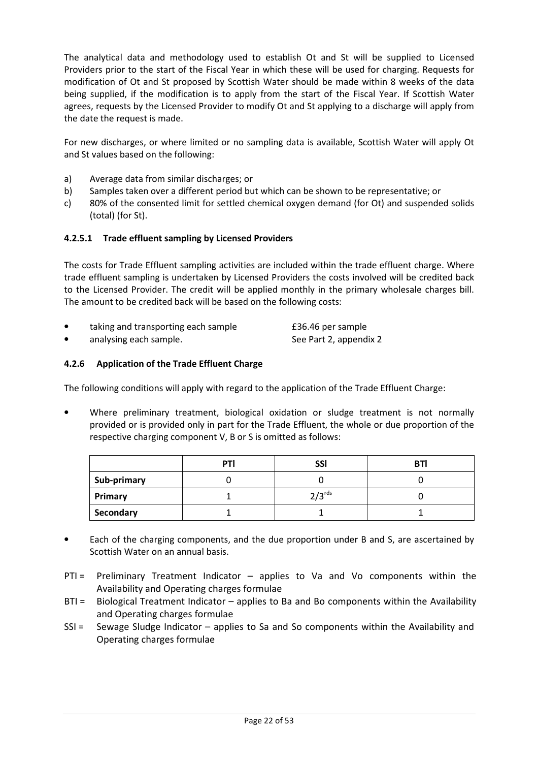The analytical data and methodology used to establish Ot and St will be supplied to Licensed Providers prior to the start of the Fiscal Year in which these will be used for charging. Requests for modification of Ot and St proposed by Scottish Water should be made within 8 weeks of the data being supplied, if the modification is to apply from the start of the Fiscal Year. If Scottish Water agrees, requests by the Licensed Provider to modify Ot and St applying to a discharge will apply from the date the request is made.

For new discharges, or where limited or no sampling data is available, Scottish Water will apply Ot and St values based on the following:

- a) Average data from similar discharges; or
- b) Samples taken over a different period but which can be shown to be representative; or
- c) 80% of the consented limit for settled chemical oxygen demand (for Ot) and suspended solids (total) (for St).

# 4.2.5.1 Trade effluent sampling by Licensed Providers

The costs for Trade Effluent sampling activities are included within the trade effluent charge. Where trade effluent sampling is undertaken by Licensed Providers the costs involved will be credited back to the Licensed Provider. The credit will be applied monthly in the primary wholesale charges bill. The amount to be credited back will be based on the following costs:

| taking and transporting each sample | £36.46 per sample      |
|-------------------------------------|------------------------|
| analysing each sample.              | See Part 2, appendix 2 |

#### 4.2.6 Application of the Trade Effluent Charge

The following conditions will apply with regard to the application of the Trade Effluent Charge:

Where preliminary treatment, biological oxidation or sludge treatment is not normally provided or is provided only in part for the Trade Effluent, the whole or due proportion of the respective charging component V, B or S is omitted as follows:

|             | DT | SSI                  | <b>BTI</b> |
|-------------|----|----------------------|------------|
| Sub-primary |    |                      |            |
| Primary     |    | $2/3$ <sup>rds</sup> |            |
| Secondary   |    |                      |            |

- Each of the charging components, and the due proportion under B and S, are ascertained by Scottish Water on an annual basis.
- PTI = Preliminary Treatment Indicator  $-$  applies to Va and Vo components within the Availability and Operating charges formulae
- BTI = Biological Treatment Indicator applies to Ba and Bo components within the Availability and Operating charges formulae
- SSI = Sewage Sludge Indicator applies to Sa and So components within the Availability and Operating charges formulae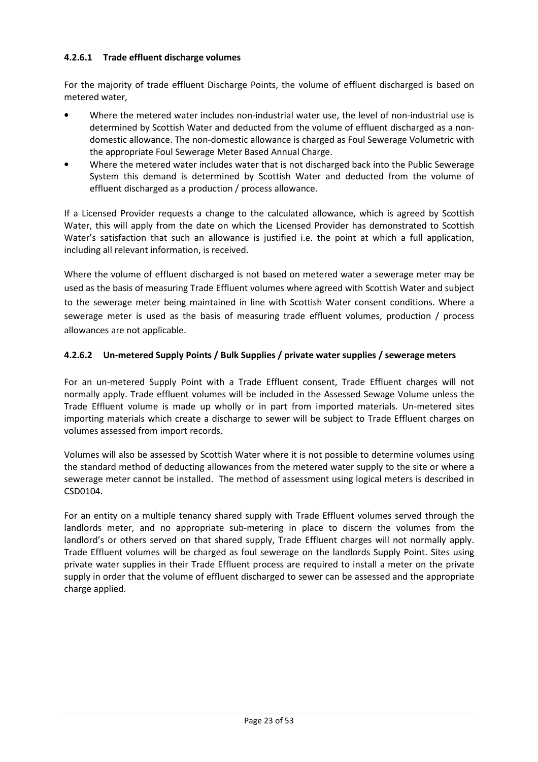# 4.2.6.1 Trade effluent discharge volumes

For the majority of trade effluent Discharge Points, the volume of effluent discharged is based on metered water,

- Where the metered water includes non-industrial water use, the level of non-industrial use is determined by Scottish Water and deducted from the volume of effluent discharged as a nondomestic allowance. The non-domestic allowance is charged as Foul Sewerage Volumetric with the appropriate Foul Sewerage Meter Based Annual Charge.
- Where the metered water includes water that is not discharged back into the Public Sewerage System this demand is determined by Scottish Water and deducted from the volume of effluent discharged as a production / process allowance.

If a Licensed Provider requests a change to the calculated allowance, which is agreed by Scottish Water, this will apply from the date on which the Licensed Provider has demonstrated to Scottish Water's satisfaction that such an allowance is justified i.e. the point at which a full application, including all relevant information, is received.

Where the volume of effluent discharged is not based on metered water a sewerage meter may be used as the basis of measuring Trade Effluent volumes where agreed with Scottish Water and subject to the sewerage meter being maintained in line with Scottish Water consent conditions. Where a sewerage meter is used as the basis of measuring trade effluent volumes, production / process allowances are not applicable.

#### 4.2.6.2 Un-metered Supply Points / Bulk Supplies / private water supplies / sewerage meters

For an un-metered Supply Point with a Trade Effluent consent, Trade Effluent charges will not normally apply. Trade effluent volumes will be included in the Assessed Sewage Volume unless the Trade Effluent volume is made up wholly or in part from imported materials. Un-metered sites importing materials which create a discharge to sewer will be subject to Trade Effluent charges on volumes assessed from import records.

Volumes will also be assessed by Scottish Water where it is not possible to determine volumes using the standard method of deducting allowances from the metered water supply to the site or where a sewerage meter cannot be installed. The method of assessment using logical meters is described in CSD0104.

For an entity on a multiple tenancy shared supply with Trade Effluent volumes served through the landlords meter, and no appropriate sub-metering in place to discern the volumes from the landlord's or others served on that shared supply, Trade Effluent charges will not normally apply. Trade Effluent volumes will be charged as foul sewerage on the landlords Supply Point. Sites using private water supplies in their Trade Effluent process are required to install a meter on the private supply in order that the volume of effluent discharged to sewer can be assessed and the appropriate charge applied.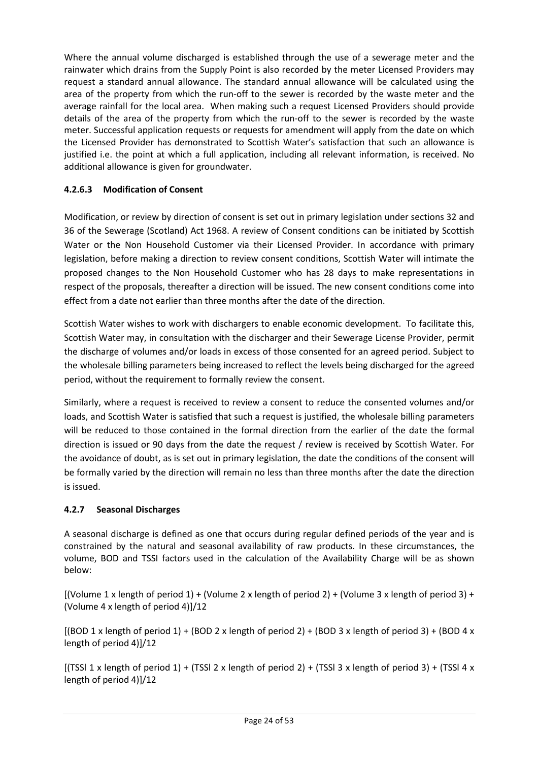Where the annual volume discharged is established through the use of a sewerage meter and the rainwater which drains from the Supply Point is also recorded by the meter Licensed Providers may request a standard annual allowance. The standard annual allowance will be calculated using the area of the property from which the run-off to the sewer is recorded by the waste meter and the average rainfall for the local area. When making such a request Licensed Providers should provide details of the area of the property from which the run-off to the sewer is recorded by the waste meter. Successful application requests or requests for amendment will apply from the date on which the Licensed Provider has demonstrated to Scottish Water's satisfaction that such an allowance is justified i.e. the point at which a full application, including all relevant information, is received. No additional allowance is given for groundwater.

# 4.2.6.3 Modification of Consent

Modification, or review by direction of consent is set out in primary legislation under sections 32 and 36 of the Sewerage (Scotland) Act 1968. A review of Consent conditions can be initiated by Scottish Water or the Non Household Customer via their Licensed Provider. In accordance with primary legislation, before making a direction to review consent conditions, Scottish Water will intimate the proposed changes to the Non Household Customer who has 28 days to make representations in respect of the proposals, thereafter a direction will be issued. The new consent conditions come into effect from a date not earlier than three months after the date of the direction.

Scottish Water wishes to work with dischargers to enable economic development. To facilitate this, Scottish Water may, in consultation with the discharger and their Sewerage License Provider, permit the discharge of volumes and/or loads in excess of those consented for an agreed period. Subject to the wholesale billing parameters being increased to reflect the levels being discharged for the agreed period, without the requirement to formally review the consent.

Similarly, where a request is received to review a consent to reduce the consented volumes and/or loads, and Scottish Water is satisfied that such a request is justified, the wholesale billing parameters will be reduced to those contained in the formal direction from the earlier of the date the formal direction is issued or 90 days from the date the request / review is received by Scottish Water. For the avoidance of doubt, as is set out in primary legislation, the date the conditions of the consent will be formally varied by the direction will remain no less than three months after the date the direction is issued.

# 4.2.7 Seasonal Discharges

A seasonal discharge is defined as one that occurs during regular defined periods of the year and is constrained by the natural and seasonal availability of raw products. In these circumstances, the volume, BOD and TSSI factors used in the calculation of the Availability Charge will be as shown below:

 $[(Volume 1 x length of period 1) + (Volume 2 x length of period 2) + (Volume 3 x length of period 3) +$ (Volume 4 x length of period 4)]/12

 $[(BOD 1 x length of period 1) + (BOD 2 x length of period 2) + (BOD 3 x length of period 3) + (BOD 4 x$ length of period 4)]/12

[(TSSI 1 x length of period 1) + (TSSI 2 x length of period 2) + (TSSI 3 x length of period 3) + (TSSI 4 x length of period 4)]/12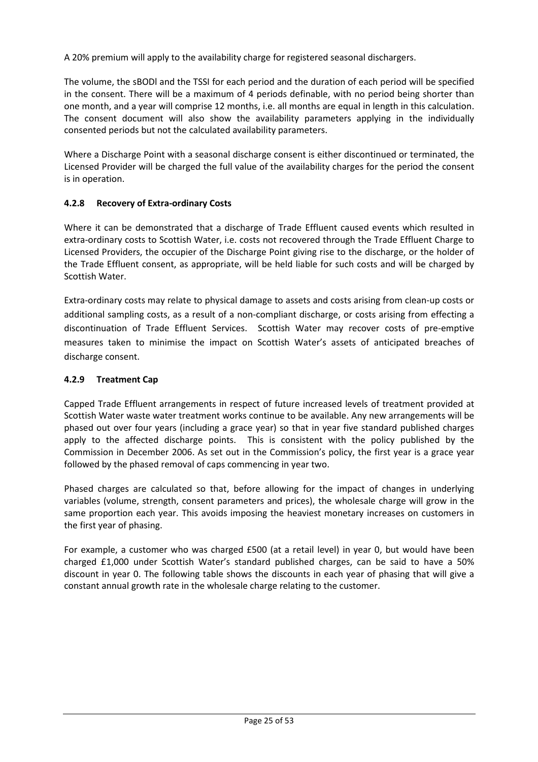A 20% premium will apply to the availability charge for registered seasonal dischargers.

The volume, the sBODl and the TSSI for each period and the duration of each period will be specified in the consent. There will be a maximum of 4 periods definable, with no period being shorter than one month, and a year will comprise 12 months, i.e. all months are equal in length in this calculation. The consent document will also show the availability parameters applying in the individually consented periods but not the calculated availability parameters.

Where a Discharge Point with a seasonal discharge consent is either discontinued or terminated, the Licensed Provider will be charged the full value of the availability charges for the period the consent is in operation.

# 4.2.8 Recovery of Extra-ordinary Costs

Where it can be demonstrated that a discharge of Trade Effluent caused events which resulted in extra-ordinary costs to Scottish Water, i.e. costs not recovered through the Trade Effluent Charge to Licensed Providers, the occupier of the Discharge Point giving rise to the discharge, or the holder of the Trade Effluent consent, as appropriate, will be held liable for such costs and will be charged by Scottish Water.

Extra-ordinary costs may relate to physical damage to assets and costs arising from clean-up costs or additional sampling costs, as a result of a non-compliant discharge, or costs arising from effecting a discontinuation of Trade Effluent Services. Scottish Water may recover costs of pre-emptive measures taken to minimise the impact on Scottish Water's assets of anticipated breaches of discharge consent.

# 4.2.9 Treatment Cap

Capped Trade Effluent arrangements in respect of future increased levels of treatment provided at Scottish Water waste water treatment works continue to be available. Any new arrangements will be phased out over four years (including a grace year) so that in year five standard published charges apply to the affected discharge points. This is consistent with the policy published by the Commission in December 2006. As set out in the Commission's policy, the first year is a grace year followed by the phased removal of caps commencing in year two.

Phased charges are calculated so that, before allowing for the impact of changes in underlying variables (volume, strength, consent parameters and prices), the wholesale charge will grow in the same proportion each year. This avoids imposing the heaviest monetary increases on customers in the first year of phasing.

For example, a customer who was charged £500 (at a retail level) in year 0, but would have been charged £1,000 under Scottish Water's standard published charges, can be said to have a 50% discount in year 0. The following table shows the discounts in each year of phasing that will give a constant annual growth rate in the wholesale charge relating to the customer.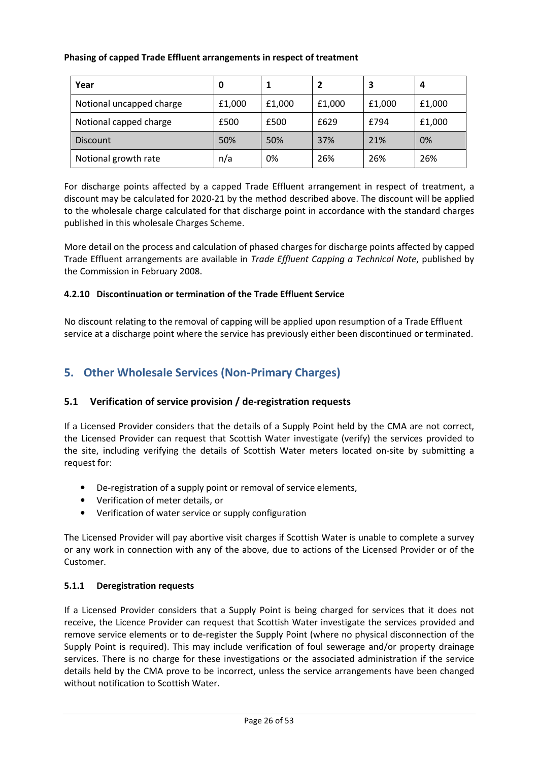#### Phasing of capped Trade Effluent arrangements in respect of treatment

| Year                     | 0      |        |        |        | 4      |
|--------------------------|--------|--------|--------|--------|--------|
| Notional uncapped charge | £1,000 | £1,000 | £1,000 | £1,000 | £1,000 |
| Notional capped charge   | £500   | £500   | £629   | £794   | £1,000 |
| <b>Discount</b>          | 50%    | 50%    | 37%    | 21%    | 0%     |
| Notional growth rate     | n/a    | 0%     | 26%    | 26%    | 26%    |

For discharge points affected by a capped Trade Effluent arrangement in respect of treatment, a discount may be calculated for 2020-21 by the method described above. The discount will be applied to the wholesale charge calculated for that discharge point in accordance with the standard charges published in this wholesale Charges Scheme.

More detail on the process and calculation of phased charges for discharge points affected by capped Trade Effluent arrangements are available in Trade Effluent Capping a Technical Note, published by the Commission in February 2008.

#### 4.2.10 Discontinuation or termination of the Trade Effluent Service

No discount relating to the removal of capping will be applied upon resumption of a Trade Effluent service at a discharge point where the service has previously either been discontinued or terminated.

# 5. Other Wholesale Services (Non-Primary Charges)

# 5.1 Verification of service provision / de-registration requests

If a Licensed Provider considers that the details of a Supply Point held by the CMA are not correct, the Licensed Provider can request that Scottish Water investigate (verify) the services provided to the site, including verifying the details of Scottish Water meters located on-site by submitting a request for:

- De-registration of a supply point or removal of service elements,
- Verification of meter details, or
- Verification of water service or supply configuration

The Licensed Provider will pay abortive visit charges if Scottish Water is unable to complete a survey or any work in connection with any of the above, due to actions of the Licensed Provider or of the Customer.

#### 5.1.1 Deregistration requests

If a Licensed Provider considers that a Supply Point is being charged for services that it does not receive, the Licence Provider can request that Scottish Water investigate the services provided and remove service elements or to de-register the Supply Point (where no physical disconnection of the Supply Point is required). This may include verification of foul sewerage and/or property drainage services. There is no charge for these investigations or the associated administration if the service details held by the CMA prove to be incorrect, unless the service arrangements have been changed without notification to Scottish Water.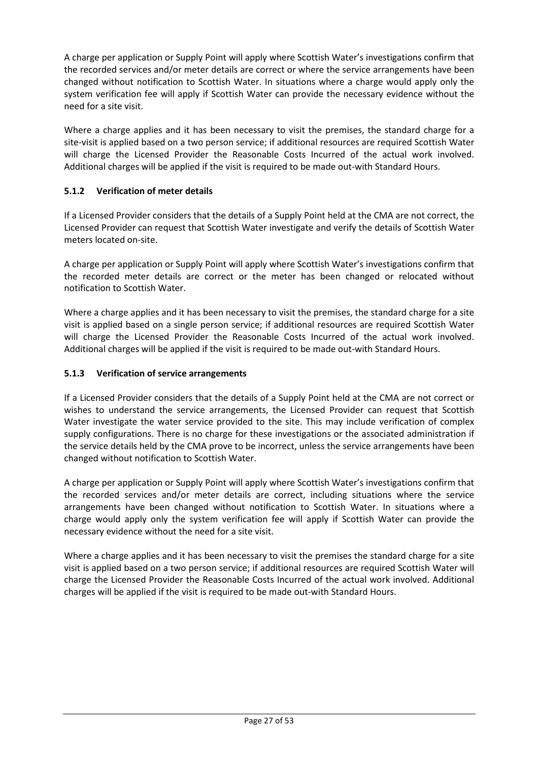A charge per application or Supply Point will apply where Scottish Water's investigations confirm that the recorded services and/or meter details are correct or where the service arrangements have been changed without notification to Scottish Water. In situations where a charge would apply only the system verification fee will apply if Scottish Water can provide the necessary evidence without the need for a site visit.

Where a charge applies and it has been necessary to visit the premises, the standard charge for a site-visit is applied based on a two person service; if additional resources are required Scottish Water will charge the Licensed Provider the Reasonable Costs Incurred of the actual work involved. Additional charges will be applied if the visit is required to be made out-with Standard Hours.

# 5.1.2 Verification of meter details

If a Licensed Provider considers that the details of a Supply Point held at the CMA are not correct, the Licensed Provider can request that Scottish Water investigate and verify the details of Scottish Water meters located on-site.

A charge per application or Supply Point will apply where Scottish Water's investigations confirm that the recorded meter details are correct or the meter has been changed or relocated without notification to Scottish Water.

Where a charge applies and it has been necessary to visit the premises, the standard charge for a site visit is applied based on a single person service; if additional resources are required Scottish Water will charge the Licensed Provider the Reasonable Costs Incurred of the actual work involved. Additional charges will be applied if the visit is required to be made out-with Standard Hours.

# 5.1.3 Verification of service arrangements

If a Licensed Provider considers that the details of a Supply Point held at the CMA are not correct or wishes to understand the service arrangements, the Licensed Provider can request that Scottish Water investigate the water service provided to the site. This may include verification of complex supply configurations. There is no charge for these investigations or the associated administration if the service details held by the CMA prove to be incorrect, unless the service arrangements have been changed without notification to Scottish Water.

A charge per application or Supply Point will apply where Scottish Water's investigations confirm that the recorded services and/or meter details are correct, including situations where the service arrangements have been changed without notification to Scottish Water. In situations where a charge would apply only the system verification fee will apply if Scottish Water can provide the necessary evidence without the need for a site visit.

Where a charge applies and it has been necessary to visit the premises the standard charge for a site visit is applied based on a two person service; if additional resources are required Scottish Water will charge the Licensed Provider the Reasonable Costs Incurred of the actual work involved. Additional charges will be applied if the visit is required to be made out-with Standard Hours.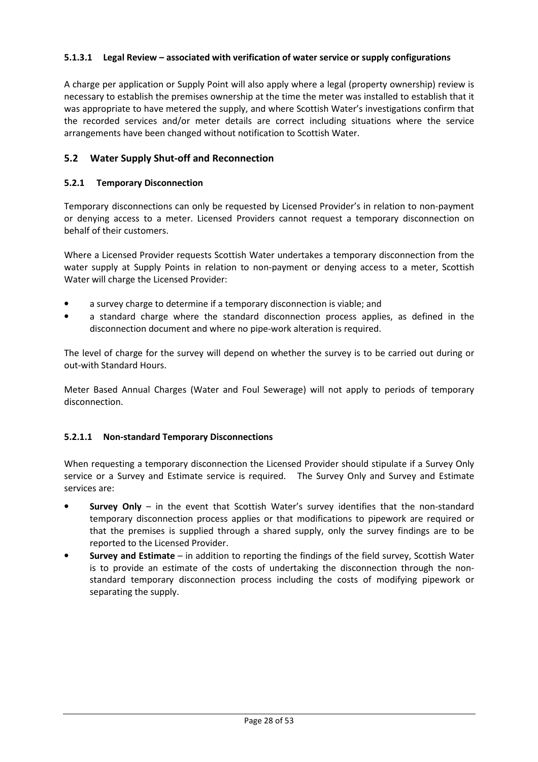# 5.1.3.1 Legal Review – associated with verification of water service or supply configurations

A charge per application or Supply Point will also apply where a legal (property ownership) review is necessary to establish the premises ownership at the time the meter was installed to establish that it was appropriate to have metered the supply, and where Scottish Water's investigations confirm that the recorded services and/or meter details are correct including situations where the service arrangements have been changed without notification to Scottish Water.

# 5.2 Water Supply Shut-off and Reconnection

#### 5.2.1 Temporary Disconnection

Temporary disconnections can only be requested by Licensed Provider's in relation to non-payment or denying access to a meter. Licensed Providers cannot request a temporary disconnection on behalf of their customers.

Where a Licensed Provider requests Scottish Water undertakes a temporary disconnection from the water supply at Supply Points in relation to non-payment or denying access to a meter, Scottish Water will charge the Licensed Provider:

- a survey charge to determine if a temporary disconnection is viable; and
- a standard charge where the standard disconnection process applies, as defined in the disconnection document and where no pipe-work alteration is required.

The level of charge for the survey will depend on whether the survey is to be carried out during or out-with Standard Hours.

Meter Based Annual Charges (Water and Foul Sewerage) will not apply to periods of temporary disconnection.

#### 5.2.1.1 Non-standard Temporary Disconnections

When requesting a temporary disconnection the Licensed Provider should stipulate if a Survey Only service or a Survey and Estimate service is required. The Survey Only and Survey and Estimate services are:

- Survey Only in the event that Scottish Water's survey identifies that the non-standard temporary disconnection process applies or that modifications to pipework are required or that the premises is supplied through a shared supply, only the survey findings are to be reported to the Licensed Provider.
- **Survey and Estimate** in addition to reporting the findings of the field survey, Scottish Water is to provide an estimate of the costs of undertaking the disconnection through the nonstandard temporary disconnection process including the costs of modifying pipework or separating the supply.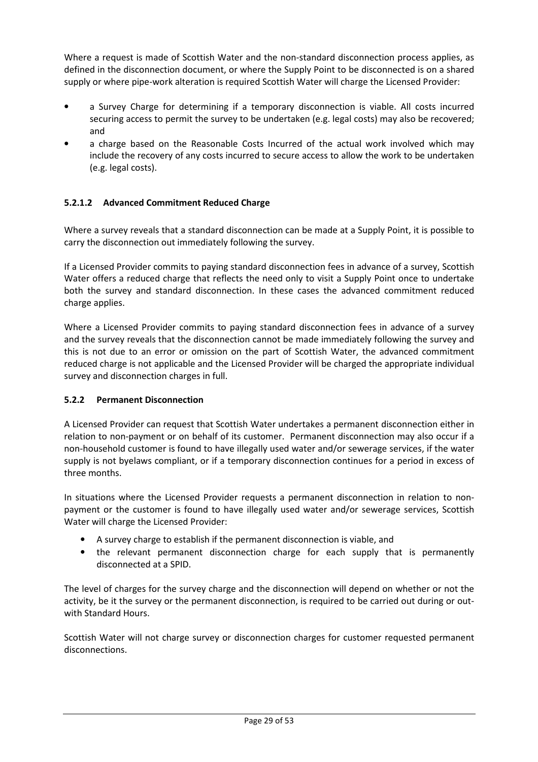Where a request is made of Scottish Water and the non-standard disconnection process applies, as defined in the disconnection document, or where the Supply Point to be disconnected is on a shared supply or where pipe-work alteration is required Scottish Water will charge the Licensed Provider:

- a Survey Charge for determining if a temporary disconnection is viable. All costs incurred securing access to permit the survey to be undertaken (e.g. legal costs) may also be recovered; and
- a charge based on the Reasonable Costs Incurred of the actual work involved which may include the recovery of any costs incurred to secure access to allow the work to be undertaken (e.g. legal costs).

# 5.2.1.2 Advanced Commitment Reduced Charge

Where a survey reveals that a standard disconnection can be made at a Supply Point, it is possible to carry the disconnection out immediately following the survey.

If a Licensed Provider commits to paying standard disconnection fees in advance of a survey, Scottish Water offers a reduced charge that reflects the need only to visit a Supply Point once to undertake both the survey and standard disconnection. In these cases the advanced commitment reduced charge applies.

Where a Licensed Provider commits to paying standard disconnection fees in advance of a survey and the survey reveals that the disconnection cannot be made immediately following the survey and this is not due to an error or omission on the part of Scottish Water, the advanced commitment reduced charge is not applicable and the Licensed Provider will be charged the appropriate individual survey and disconnection charges in full.

#### 5.2.2 Permanent Disconnection

A Licensed Provider can request that Scottish Water undertakes a permanent disconnection either in relation to non-payment or on behalf of its customer. Permanent disconnection may also occur if a non-household customer is found to have illegally used water and/or sewerage services, if the water supply is not byelaws compliant, or if a temporary disconnection continues for a period in excess of three months.

In situations where the Licensed Provider requests a permanent disconnection in relation to nonpayment or the customer is found to have illegally used water and/or sewerage services, Scottish Water will charge the Licensed Provider:

- A survey charge to establish if the permanent disconnection is viable, and
- the relevant permanent disconnection charge for each supply that is permanently disconnected at a SPID.

The level of charges for the survey charge and the disconnection will depend on whether or not the activity, be it the survey or the permanent disconnection, is required to be carried out during or outwith Standard Hours.

Scottish Water will not charge survey or disconnection charges for customer requested permanent disconnections.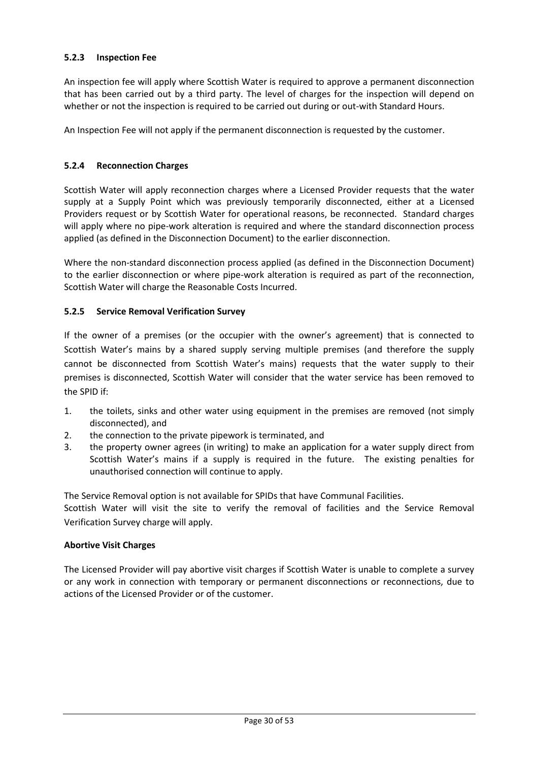# 5.2.3 Inspection Fee

An inspection fee will apply where Scottish Water is required to approve a permanent disconnection that has been carried out by a third party. The level of charges for the inspection will depend on whether or not the inspection is required to be carried out during or out-with Standard Hours.

An Inspection Fee will not apply if the permanent disconnection is requested by the customer.

### 5.2.4 Reconnection Charges

Scottish Water will apply reconnection charges where a Licensed Provider requests that the water supply at a Supply Point which was previously temporarily disconnected, either at a Licensed Providers request or by Scottish Water for operational reasons, be reconnected. Standard charges will apply where no pipe-work alteration is required and where the standard disconnection process applied (as defined in the Disconnection Document) to the earlier disconnection.

Where the non-standard disconnection process applied (as defined in the Disconnection Document) to the earlier disconnection or where pipe-work alteration is required as part of the reconnection, Scottish Water will charge the Reasonable Costs Incurred.

#### 5.2.5 Service Removal Verification Survey

If the owner of a premises (or the occupier with the owner's agreement) that is connected to Scottish Water's mains by a shared supply serving multiple premises (and therefore the supply cannot be disconnected from Scottish Water's mains) requests that the water supply to their premises is disconnected, Scottish Water will consider that the water service has been removed to the SPID if:

- 1. the toilets, sinks and other water using equipment in the premises are removed (not simply disconnected), and
- 2. the connection to the private pipework is terminated, and
- 3. the property owner agrees (in writing) to make an application for a water supply direct from Scottish Water's mains if a supply is required in the future. The existing penalties for unauthorised connection will continue to apply.

The Service Removal option is not available for SPIDs that have Communal Facilities.

Scottish Water will visit the site to verify the removal of facilities and the Service Removal Verification Survey charge will apply.

#### Abortive Visit Charges

The Licensed Provider will pay abortive visit charges if Scottish Water is unable to complete a survey or any work in connection with temporary or permanent disconnections or reconnections, due to actions of the Licensed Provider or of the customer.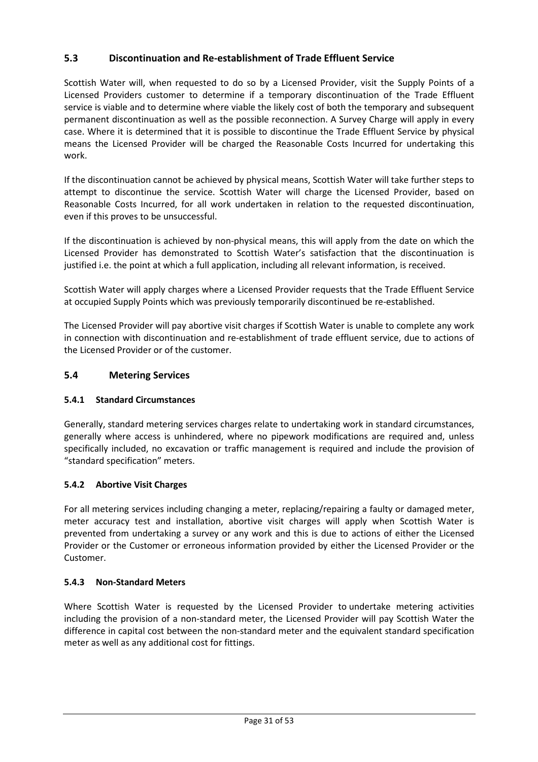# 5.3 Discontinuation and Re-establishment of Trade Effluent Service

Scottish Water will, when requested to do so by a Licensed Provider, visit the Supply Points of a Licensed Providers customer to determine if a temporary discontinuation of the Trade Effluent service is viable and to determine where viable the likely cost of both the temporary and subsequent permanent discontinuation as well as the possible reconnection. A Survey Charge will apply in every case. Where it is determined that it is possible to discontinue the Trade Effluent Service by physical means the Licensed Provider will be charged the Reasonable Costs Incurred for undertaking this work.

If the discontinuation cannot be achieved by physical means, Scottish Water will take further steps to attempt to discontinue the service. Scottish Water will charge the Licensed Provider, based on Reasonable Costs Incurred, for all work undertaken in relation to the requested discontinuation, even if this proves to be unsuccessful.

If the discontinuation is achieved by non-physical means, this will apply from the date on which the Licensed Provider has demonstrated to Scottish Water's satisfaction that the discontinuation is justified i.e. the point at which a full application, including all relevant information, is received.

Scottish Water will apply charges where a Licensed Provider requests that the Trade Effluent Service at occupied Supply Points which was previously temporarily discontinued be re-established.

The Licensed Provider will pay abortive visit charges if Scottish Water is unable to complete any work in connection with discontinuation and re-establishment of trade effluent service, due to actions of the Licensed Provider or of the customer.

# 5.4 Metering Services

#### 5.4.1 Standard Circumstances

Generally, standard metering services charges relate to undertaking work in standard circumstances, generally where access is unhindered, where no pipework modifications are required and, unless specifically included, no excavation or traffic management is required and include the provision of "standard specification" meters.

#### 5.4.2 Abortive Visit Charges

For all metering services including changing a meter, replacing/repairing a faulty or damaged meter, meter accuracy test and installation, abortive visit charges will apply when Scottish Water is prevented from undertaking a survey or any work and this is due to actions of either the Licensed Provider or the Customer or erroneous information provided by either the Licensed Provider or the Customer.

#### 5.4.3 Non-Standard Meters

Where Scottish Water is requested by the Licensed Provider to undertake metering activities including the provision of a non-standard meter, the Licensed Provider will pay Scottish Water the difference in capital cost between the non-standard meter and the equivalent standard specification meter as well as any additional cost for fittings.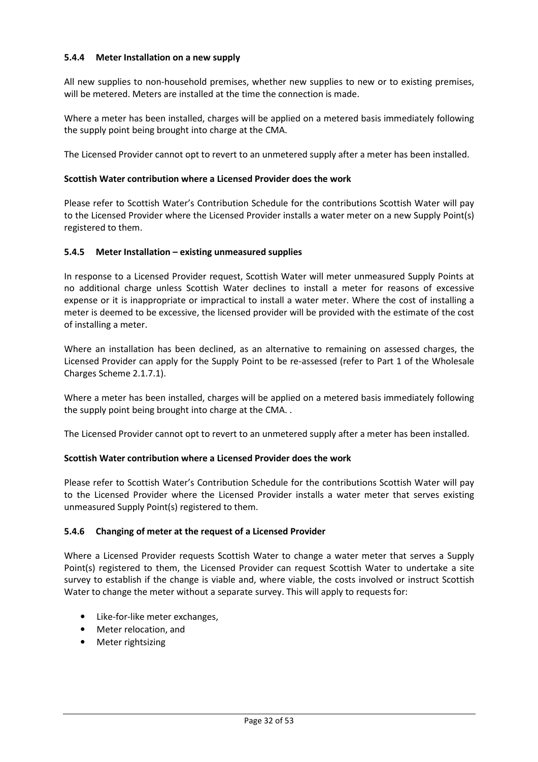#### 5.4.4 Meter Installation on a new supply

All new supplies to non-household premises, whether new supplies to new or to existing premises, will be metered. Meters are installed at the time the connection is made.

Where a meter has been installed, charges will be applied on a metered basis immediately following the supply point being brought into charge at the CMA.

The Licensed Provider cannot opt to revert to an unmetered supply after a meter has been installed.

#### Scottish Water contribution where a Licensed Provider does the work

Please refer to Scottish Water's Contribution Schedule for the contributions Scottish Water will pay to the Licensed Provider where the Licensed Provider installs a water meter on a new Supply Point(s) registered to them.

#### 5.4.5 Meter Installation – existing unmeasured supplies

In response to a Licensed Provider request, Scottish Water will meter unmeasured Supply Points at no additional charge unless Scottish Water declines to install a meter for reasons of excessive expense or it is inappropriate or impractical to install a water meter. Where the cost of installing a meter is deemed to be excessive, the licensed provider will be provided with the estimate of the cost of installing a meter.

Where an installation has been declined, as an alternative to remaining on assessed charges, the Licensed Provider can apply for the Supply Point to be re-assessed (refer to Part 1 of the Wholesale Charges Scheme 2.1.7.1).

Where a meter has been installed, charges will be applied on a metered basis immediately following the supply point being brought into charge at the CMA. .

The Licensed Provider cannot opt to revert to an unmetered supply after a meter has been installed.

#### Scottish Water contribution where a Licensed Provider does the work

Please refer to Scottish Water's Contribution Schedule for the contributions Scottish Water will pay to the Licensed Provider where the Licensed Provider installs a water meter that serves existing unmeasured Supply Point(s) registered to them.

#### 5.4.6 Changing of meter at the request of a Licensed Provider

Where a Licensed Provider requests Scottish Water to change a water meter that serves a Supply Point(s) registered to them, the Licensed Provider can request Scottish Water to undertake a site survey to establish if the change is viable and, where viable, the costs involved or instruct Scottish Water to change the meter without a separate survey. This will apply to requests for:

- Like-for-like meter exchanges,
- Meter relocation, and
- Meter rightsizing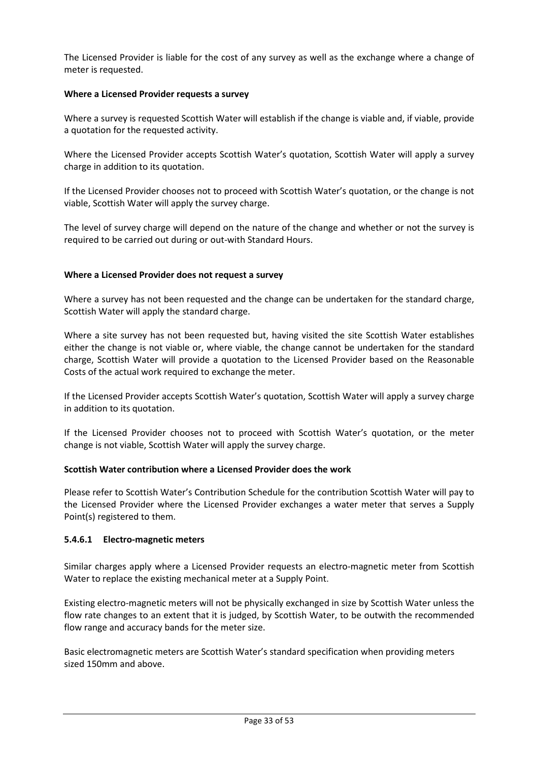The Licensed Provider is liable for the cost of any survey as well as the exchange where a change of meter is requested.

#### Where a Licensed Provider requests a survey

Where a survey is requested Scottish Water will establish if the change is viable and, if viable, provide a quotation for the requested activity.

Where the Licensed Provider accepts Scottish Water's quotation, Scottish Water will apply a survey charge in addition to its quotation.

If the Licensed Provider chooses not to proceed with Scottish Water's quotation, or the change is not viable, Scottish Water will apply the survey charge.

The level of survey charge will depend on the nature of the change and whether or not the survey is required to be carried out during or out-with Standard Hours.

#### Where a Licensed Provider does not request a survey

Where a survey has not been requested and the change can be undertaken for the standard charge, Scottish Water will apply the standard charge.

Where a site survey has not been requested but, having visited the site Scottish Water establishes either the change is not viable or, where viable, the change cannot be undertaken for the standard charge, Scottish Water will provide a quotation to the Licensed Provider based on the Reasonable Costs of the actual work required to exchange the meter.

If the Licensed Provider accepts Scottish Water's quotation, Scottish Water will apply a survey charge in addition to its quotation.

If the Licensed Provider chooses not to proceed with Scottish Water's quotation, or the meter change is not viable, Scottish Water will apply the survey charge.

#### Scottish Water contribution where a Licensed Provider does the work

Please refer to Scottish Water's Contribution Schedule for the contribution Scottish Water will pay to the Licensed Provider where the Licensed Provider exchanges a water meter that serves a Supply Point(s) registered to them.

#### 5.4.6.1 Electro-magnetic meters

Similar charges apply where a Licensed Provider requests an electro-magnetic meter from Scottish Water to replace the existing mechanical meter at a Supply Point.

Existing electro-magnetic meters will not be physically exchanged in size by Scottish Water unless the flow rate changes to an extent that it is judged, by Scottish Water, to be outwith the recommended flow range and accuracy bands for the meter size.

Basic electromagnetic meters are Scottish Water's standard specification when providing meters sized 150mm and above.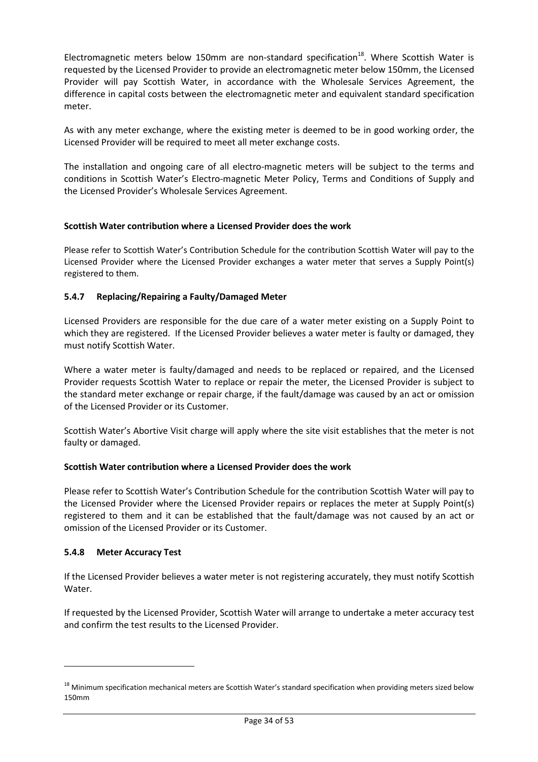Electromagnetic meters below 150mm are non-standard specification<sup>18</sup>. Where Scottish Water is requested by the Licensed Provider to provide an electromagnetic meter below 150mm, the Licensed Provider will pay Scottish Water, in accordance with the Wholesale Services Agreement, the difference in capital costs between the electromagnetic meter and equivalent standard specification meter.

As with any meter exchange, where the existing meter is deemed to be in good working order, the Licensed Provider will be required to meet all meter exchange costs.

The installation and ongoing care of all electro-magnetic meters will be subject to the terms and conditions in Scottish Water's Electro-magnetic Meter Policy, Terms and Conditions of Supply and the Licensed Provider's Wholesale Services Agreement.

#### Scottish Water contribution where a Licensed Provider does the work

Please refer to Scottish Water's Contribution Schedule for the contribution Scottish Water will pay to the Licensed Provider where the Licensed Provider exchanges a water meter that serves a Supply Point(s) registered to them.

#### 5.4.7 Replacing/Repairing a Faulty/Damaged Meter

Licensed Providers are responsible for the due care of a water meter existing on a Supply Point to which they are registered. If the Licensed Provider believes a water meter is faulty or damaged, they must notify Scottish Water.

Where a water meter is faulty/damaged and needs to be replaced or repaired, and the Licensed Provider requests Scottish Water to replace or repair the meter, the Licensed Provider is subject to the standard meter exchange or repair charge, if the fault/damage was caused by an act or omission of the Licensed Provider or its Customer.

Scottish Water's Abortive Visit charge will apply where the site visit establishes that the meter is not faulty or damaged.

#### Scottish Water contribution where a Licensed Provider does the work

Please refer to Scottish Water's Contribution Schedule for the contribution Scottish Water will pay to the Licensed Provider where the Licensed Provider repairs or replaces the meter at Supply Point(s) registered to them and it can be established that the fault/damage was not caused by an act or omission of the Licensed Provider or its Customer.

#### 5.4.8 Meter Accuracy Test

 $\overline{a}$ 

If the Licensed Provider believes a water meter is not registering accurately, they must notify Scottish Water.

If requested by the Licensed Provider, Scottish Water will arrange to undertake a meter accuracy test and confirm the test results to the Licensed Provider.

 $18$  Minimum specification mechanical meters are Scottish Water's standard specification when providing meters sized below 150mm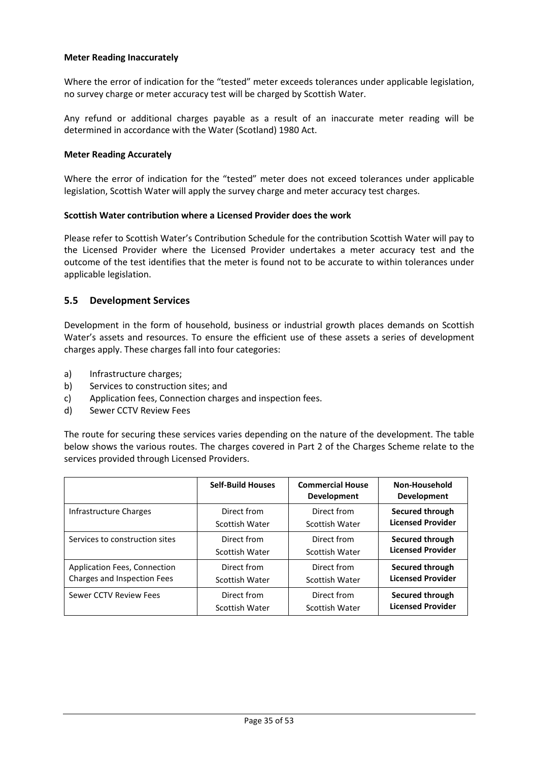#### Meter Reading Inaccurately

Where the error of indication for the "tested" meter exceeds tolerances under applicable legislation, no survey charge or meter accuracy test will be charged by Scottish Water.

Any refund or additional charges payable as a result of an inaccurate meter reading will be determined in accordance with the Water (Scotland) 1980 Act.

#### Meter Reading Accurately

Where the error of indication for the "tested" meter does not exceed tolerances under applicable legislation, Scottish Water will apply the survey charge and meter accuracy test charges.

#### Scottish Water contribution where a Licensed Provider does the work

Please refer to Scottish Water's Contribution Schedule for the contribution Scottish Water will pay to the Licensed Provider where the Licensed Provider undertakes a meter accuracy test and the outcome of the test identifies that the meter is found not to be accurate to within tolerances under applicable legislation.

#### 5.5 Development Services

Development in the form of household, business or industrial growth places demands on Scottish Water's assets and resources. To ensure the efficient use of these assets a series of development charges apply. These charges fall into four categories:

- a) Infrastructure charges;
- b) Services to construction sites; and
- c) Application fees, Connection charges and inspection fees.
- d) Sewer CCTV Review Fees

The route for securing these services varies depending on the nature of the development. The table below shows the various routes. The charges covered in Part 2 of the Charges Scheme relate to the services provided through Licensed Providers.

|                                | <b>Self-Build Houses</b> | <b>Commercial House</b><br>Development | Non-Household<br><b>Development</b> |
|--------------------------------|--------------------------|----------------------------------------|-------------------------------------|
| Infrastructure Charges         | Direct from              | Direct from                            | Secured through                     |
|                                | Scottish Water           | Scottish Water                         | <b>Licensed Provider</b>            |
| Services to construction sites | Direct from              | Direct from                            | Secured through                     |
|                                | Scottish Water           | Scottish Water                         | <b>Licensed Provider</b>            |
| Application Fees, Connection   | Direct from              | Direct from                            | Secured through                     |
| Charges and Inspection Fees    | Scottish Water           | Scottish Water                         | <b>Licensed Provider</b>            |
| Sewer CCTV Review Fees         | Direct from              | Direct from                            | Secured through                     |
|                                | <b>Scottish Water</b>    | <b>Scottish Water</b>                  | <b>Licensed Provider</b>            |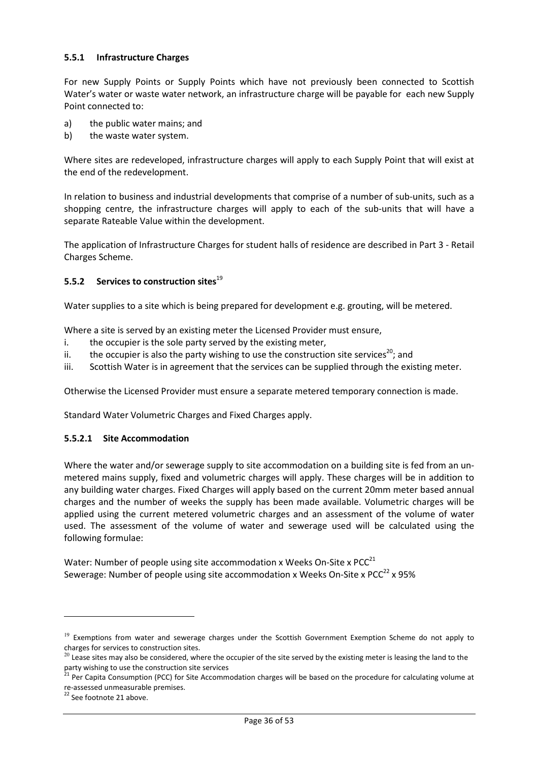#### 5.5.1 Infrastructure Charges

For new Supply Points or Supply Points which have not previously been connected to Scottish Water's water or waste water network, an infrastructure charge will be payable for each new Supply Point connected to:

- a) the public water mains; and
- b) the waste water system.

Where sites are redeveloped, infrastructure charges will apply to each Supply Point that will exist at the end of the redevelopment.

In relation to business and industrial developments that comprise of a number of sub-units, such as a shopping centre, the infrastructure charges will apply to each of the sub-units that will have a separate Rateable Value within the development.

The application of Infrastructure Charges for student halls of residence are described in Part 3 - Retail Charges Scheme.

#### 5.5.2 Services to construction sites $^{19}$

Water supplies to a site which is being prepared for development e.g. grouting, will be metered.

Where a site is served by an existing meter the Licensed Provider must ensure,

- i. the occupier is the sole party served by the existing meter,
- ii. the occupier is also the party wishing to use the construction site services<sup>20</sup>; and
- iii. Scottish Water is in agreement that the services can be supplied through the existing meter.

Otherwise the Licensed Provider must ensure a separate metered temporary connection is made.

Standard Water Volumetric Charges and Fixed Charges apply.

#### 5.5.2.1 Site Accommodation

Where the water and/or sewerage supply to site accommodation on a building site is fed from an unmetered mains supply, fixed and volumetric charges will apply. These charges will be in addition to any building water charges. Fixed Charges will apply based on the current 20mm meter based annual charges and the number of weeks the supply has been made available. Volumetric charges will be applied using the current metered volumetric charges and an assessment of the volume of water used. The assessment of the volume of water and sewerage used will be calculated using the following formulae:

Water: Number of people using site accommodation x Weeks On-Site x  $PCC^{21}$ Sewerage: Number of people using site accommodation x Weeks On-Site x PCC<sup>22</sup> x 95%

<sup>&</sup>lt;sup>19</sup> Exemptions from water and sewerage charges under the Scottish Government Exemption Scheme do not apply to charges for services to construction sites.

 $20$  Lease sites may also be considered, where the occupier of the site served by the existing meter is leasing the land to the party wishing to use the construction site services

 $<sup>1</sup>$  Per Capita Consumption (PCC) for Site Accommodation charges will be based on the procedure for calculating volume at</sup> re-assessed unmeasurable premises.

<sup>&</sup>lt;sup>22</sup> See footnote 21 above.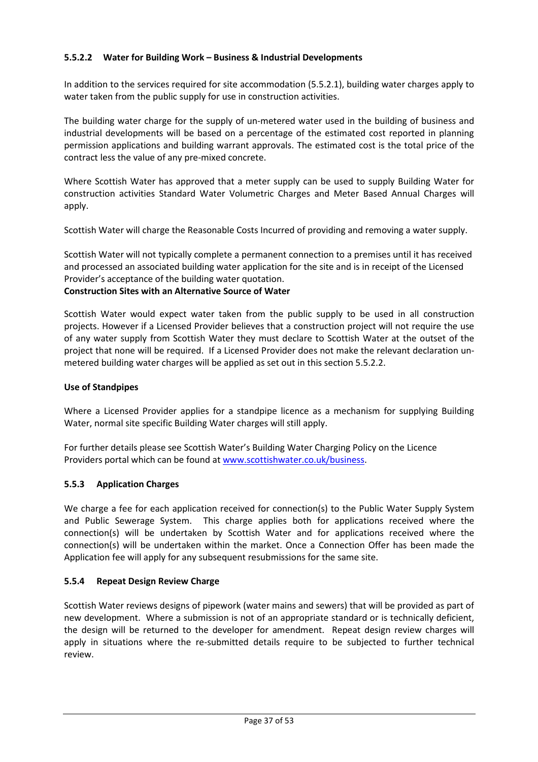# 5.5.2.2 Water for Building Work – Business & Industrial Developments

In addition to the services required for site accommodation (5.5.2.1), building water charges apply to water taken from the public supply for use in construction activities.

The building water charge for the supply of un-metered water used in the building of business and industrial developments will be based on a percentage of the estimated cost reported in planning permission applications and building warrant approvals. The estimated cost is the total price of the contract less the value of any pre-mixed concrete.

Where Scottish Water has approved that a meter supply can be used to supply Building Water for construction activities Standard Water Volumetric Charges and Meter Based Annual Charges will apply.

Scottish Water will charge the Reasonable Costs Incurred of providing and removing a water supply.

Scottish Water will not typically complete a permanent connection to a premises until it has received and processed an associated building water application for the site and is in receipt of the Licensed Provider's acceptance of the building water quotation.

#### Construction Sites with an Alternative Source of Water

Scottish Water would expect water taken from the public supply to be used in all construction projects. However if a Licensed Provider believes that a construction project will not require the use of any water supply from Scottish Water they must declare to Scottish Water at the outset of the project that none will be required. If a Licensed Provider does not make the relevant declaration unmetered building water charges will be applied as set out in this section 5.5.2.2.

#### Use of Standpipes

Where a Licensed Provider applies for a standpipe licence as a mechanism for supplying Building Water, normal site specific Building Water charges will still apply.

For further details please see Scottish Water's Building Water Charging Policy on the Licence Providers portal which can be found at www.scottishwater.co.uk/business.

#### 5.5.3 Application Charges

We charge a fee for each application received for connection(s) to the Public Water Supply System and Public Sewerage System. This charge applies both for applications received where the connection(s) will be undertaken by Scottish Water and for applications received where the connection(s) will be undertaken within the market. Once a Connection Offer has been made the Application fee will apply for any subsequent resubmissions for the same site.

#### 5.5.4 Repeat Design Review Charge

Scottish Water reviews designs of pipework (water mains and sewers) that will be provided as part of new development. Where a submission is not of an appropriate standard or is technically deficient, the design will be returned to the developer for amendment. Repeat design review charges will apply in situations where the re-submitted details require to be subjected to further technical review.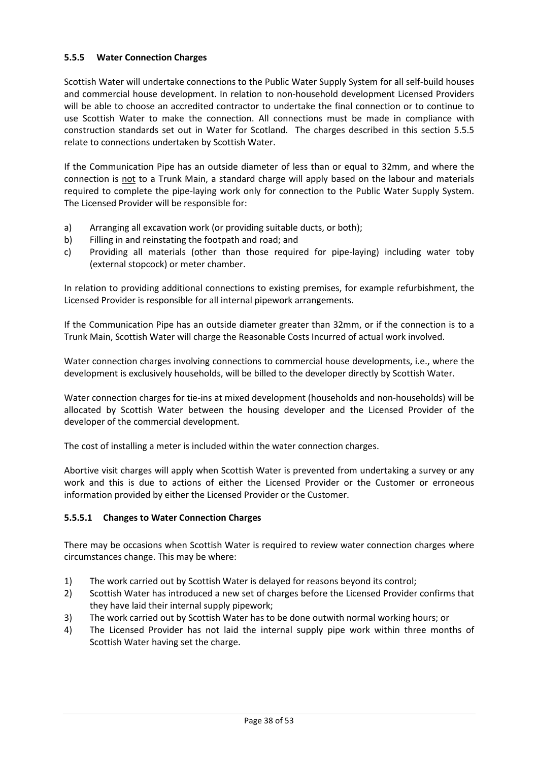# 5.5.5 Water Connection Charges

Scottish Water will undertake connections to the Public Water Supply System for all self-build houses and commercial house development. In relation to non-household development Licensed Providers will be able to choose an accredited contractor to undertake the final connection or to continue to use Scottish Water to make the connection. All connections must be made in compliance with construction standards set out in Water for Scotland. The charges described in this section 5.5.5 relate to connections undertaken by Scottish Water.

If the Communication Pipe has an outside diameter of less than or equal to 32mm, and where the connection is not to a Trunk Main, a standard charge will apply based on the labour and materials required to complete the pipe-laying work only for connection to the Public Water Supply System. The Licensed Provider will be responsible for:

- a) Arranging all excavation work (or providing suitable ducts, or both);
- b) Filling in and reinstating the footpath and road; and
- c) Providing all materials (other than those required for pipe-laying) including water toby (external stopcock) or meter chamber.

In relation to providing additional connections to existing premises, for example refurbishment, the Licensed Provider is responsible for all internal pipework arrangements.

If the Communication Pipe has an outside diameter greater than 32mm, or if the connection is to a Trunk Main, Scottish Water will charge the Reasonable Costs Incurred of actual work involved.

Water connection charges involving connections to commercial house developments, i.e., where the development is exclusively households, will be billed to the developer directly by Scottish Water.

Water connection charges for tie-ins at mixed development (households and non-households) will be allocated by Scottish Water between the housing developer and the Licensed Provider of the developer of the commercial development.

The cost of installing a meter is included within the water connection charges.

Abortive visit charges will apply when Scottish Water is prevented from undertaking a survey or any work and this is due to actions of either the Licensed Provider or the Customer or erroneous information provided by either the Licensed Provider or the Customer.

#### 5.5.5.1 Changes to Water Connection Charges

There may be occasions when Scottish Water is required to review water connection charges where circumstances change. This may be where:

- 1) The work carried out by Scottish Water is delayed for reasons beyond its control;
- 2) Scottish Water has introduced a new set of charges before the Licensed Provider confirms that they have laid their internal supply pipework;
- 3) The work carried out by Scottish Water has to be done outwith normal working hours; or
- 4) The Licensed Provider has not laid the internal supply pipe work within three months of Scottish Water having set the charge.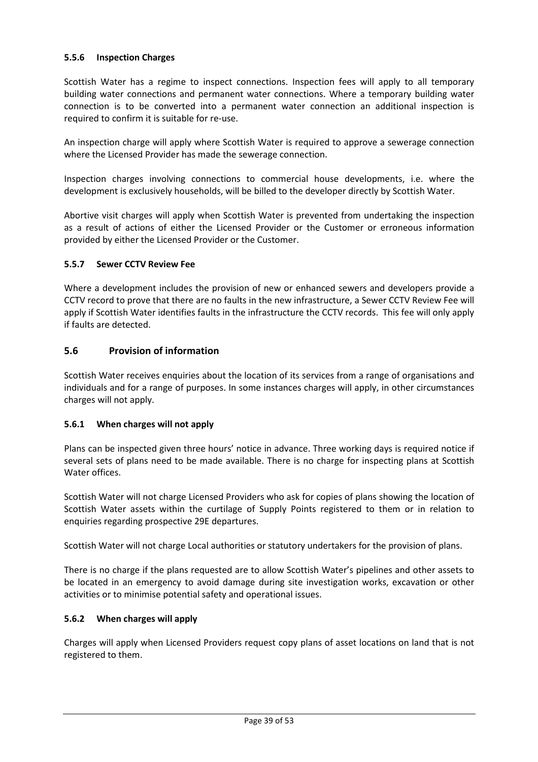### 5.5.6 Inspection Charges

Scottish Water has a regime to inspect connections. Inspection fees will apply to all temporary building water connections and permanent water connections. Where a temporary building water connection is to be converted into a permanent water connection an additional inspection is required to confirm it is suitable for re-use.

An inspection charge will apply where Scottish Water is required to approve a sewerage connection where the Licensed Provider has made the sewerage connection.

Inspection charges involving connections to commercial house developments, i.e. where the development is exclusively households, will be billed to the developer directly by Scottish Water.

Abortive visit charges will apply when Scottish Water is prevented from undertaking the inspection as a result of actions of either the Licensed Provider or the Customer or erroneous information provided by either the Licensed Provider or the Customer.

#### 5.5.7 Sewer CCTV Review Fee

Where a development includes the provision of new or enhanced sewers and developers provide a CCTV record to prove that there are no faults in the new infrastructure, a Sewer CCTV Review Fee will apply if Scottish Water identifies faults in the infrastructure the CCTV records. This fee will only apply if faults are detected.

#### 5.6 Provision of information

Scottish Water receives enquiries about the location of its services from a range of organisations and individuals and for a range of purposes. In some instances charges will apply, in other circumstances charges will not apply.

#### 5.6.1 When charges will not apply

Plans can be inspected given three hours' notice in advance. Three working days is required notice if several sets of plans need to be made available. There is no charge for inspecting plans at Scottish Water offices.

Scottish Water will not charge Licensed Providers who ask for copies of plans showing the location of Scottish Water assets within the curtilage of Supply Points registered to them or in relation to enquiries regarding prospective 29E departures.

Scottish Water will not charge Local authorities or statutory undertakers for the provision of plans.

There is no charge if the plans requested are to allow Scottish Water's pipelines and other assets to be located in an emergency to avoid damage during site investigation works, excavation or other activities or to minimise potential safety and operational issues.

#### 5.6.2 When charges will apply

Charges will apply when Licensed Providers request copy plans of asset locations on land that is not registered to them.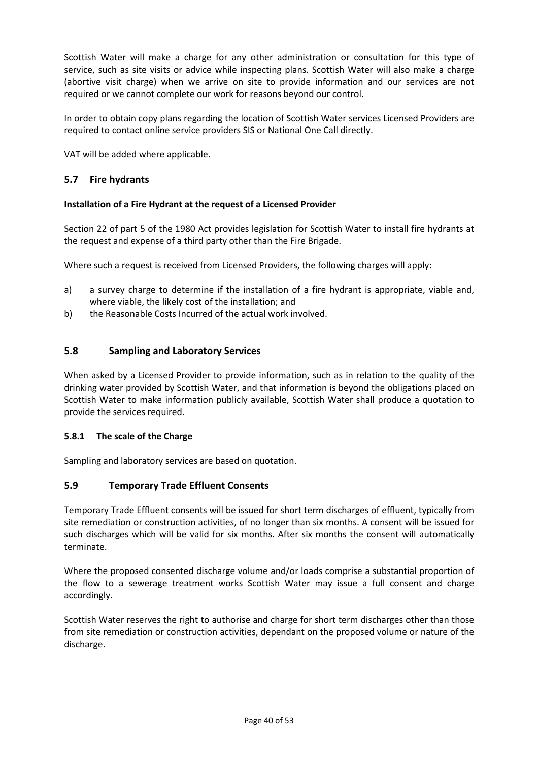Scottish Water will make a charge for any other administration or consultation for this type of service, such as site visits or advice while inspecting plans. Scottish Water will also make a charge (abortive visit charge) when we arrive on site to provide information and our services are not required or we cannot complete our work for reasons beyond our control.

In order to obtain copy plans regarding the location of Scottish Water services Licensed Providers are required to contact online service providers SIS or National One Call directly.

VAT will be added where applicable.

# 5.7 Fire hydrants

#### Installation of a Fire Hydrant at the request of a Licensed Provider

Section 22 of part 5 of the 1980 Act provides legislation for Scottish Water to install fire hydrants at the request and expense of a third party other than the Fire Brigade.

Where such a request is received from Licensed Providers, the following charges will apply:

- a) a survey charge to determine if the installation of a fire hydrant is appropriate, viable and, where viable, the likely cost of the installation; and
- b) the Reasonable Costs Incurred of the actual work involved.

#### 5.8 Sampling and Laboratory Services

When asked by a Licensed Provider to provide information, such as in relation to the quality of the drinking water provided by Scottish Water, and that information is beyond the obligations placed on Scottish Water to make information publicly available, Scottish Water shall produce a quotation to provide the services required.

#### 5.8.1 The scale of the Charge

Sampling and laboratory services are based on quotation.

#### 5.9 Temporary Trade Effluent Consents

Temporary Trade Effluent consents will be issued for short term discharges of effluent, typically from site remediation or construction activities, of no longer than six months. A consent will be issued for such discharges which will be valid for six months. After six months the consent will automatically terminate.

Where the proposed consented discharge volume and/or loads comprise a substantial proportion of the flow to a sewerage treatment works Scottish Water may issue a full consent and charge accordingly.

Scottish Water reserves the right to authorise and charge for short term discharges other than those from site remediation or construction activities, dependant on the proposed volume or nature of the discharge.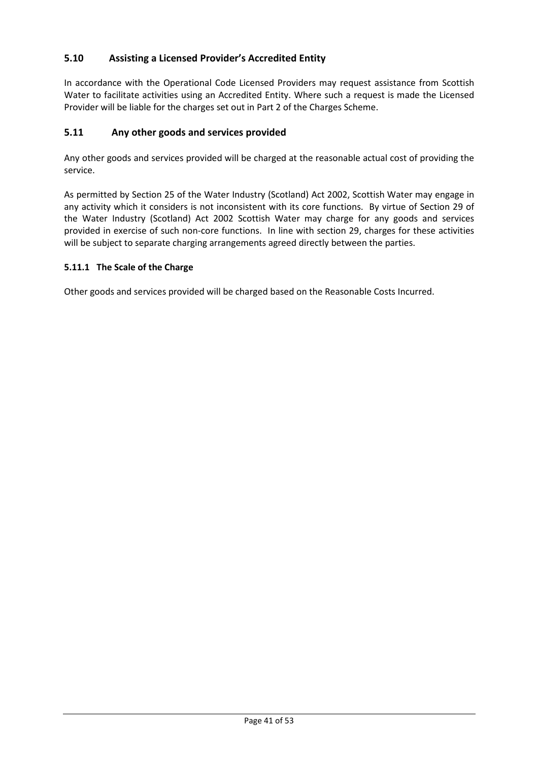# 5.10 Assisting a Licensed Provider's Accredited Entity

In accordance with the Operational Code Licensed Providers may request assistance from Scottish Water to facilitate activities using an Accredited Entity. Where such a request is made the Licensed Provider will be liable for the charges set out in Part 2 of the Charges Scheme.

# 5.11 Any other goods and services provided

Any other goods and services provided will be charged at the reasonable actual cost of providing the service.

As permitted by Section 25 of the Water Industry (Scotland) Act 2002, Scottish Water may engage in any activity which it considers is not inconsistent with its core functions. By virtue of Section 29 of the Water Industry (Scotland) Act 2002 Scottish Water may charge for any goods and services provided in exercise of such non-core functions. In line with section 29, charges for these activities will be subject to separate charging arrangements agreed directly between the parties.

#### 5.11.1 The Scale of the Charge

Other goods and services provided will be charged based on the Reasonable Costs Incurred.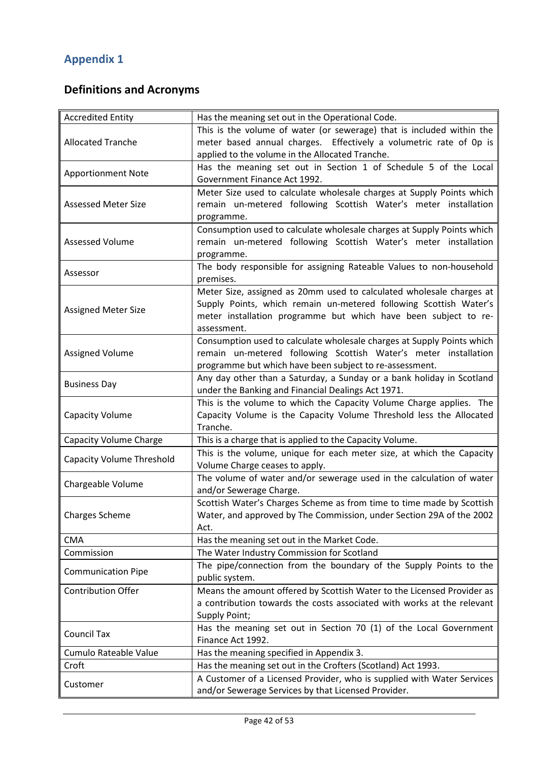# Appendix 1

# Definitions and Acronyms

| <b>Accredited Entity</b>         | Has the meaning set out in the Operational Code.                       |  |  |  |
|----------------------------------|------------------------------------------------------------------------|--|--|--|
|                                  | This is the volume of water (or sewerage) that is included within the  |  |  |  |
| <b>Allocated Tranche</b>         | meter based annual charges. Effectively a volumetric rate of Op is     |  |  |  |
|                                  | applied to the volume in the Allocated Tranche.                        |  |  |  |
| <b>Apportionment Note</b>        | Has the meaning set out in Section 1 of Schedule 5 of the Local        |  |  |  |
|                                  | Government Finance Act 1992.                                           |  |  |  |
|                                  | Meter Size used to calculate wholesale charges at Supply Points which  |  |  |  |
| <b>Assessed Meter Size</b>       | remain un-metered following Scottish Water's meter installation        |  |  |  |
|                                  | programme.                                                             |  |  |  |
|                                  | Consumption used to calculate wholesale charges at Supply Points which |  |  |  |
| <b>Assessed Volume</b>           | remain un-metered following Scottish Water's meter installation        |  |  |  |
|                                  | programme.                                                             |  |  |  |
| Assessor                         | The body responsible for assigning Rateable Values to non-household    |  |  |  |
|                                  | premises.                                                              |  |  |  |
|                                  | Meter Size, assigned as 20mm used to calculated wholesale charges at   |  |  |  |
| <b>Assigned Meter Size</b>       | Supply Points, which remain un-metered following Scottish Water's      |  |  |  |
|                                  | meter installation programme but which have been subject to re-        |  |  |  |
|                                  | assessment.                                                            |  |  |  |
|                                  | Consumption used to calculate wholesale charges at Supply Points which |  |  |  |
| Assigned Volume                  | remain un-metered following Scottish Water's meter installation        |  |  |  |
|                                  | programme but which have been subject to re-assessment.                |  |  |  |
| <b>Business Day</b>              | Any day other than a Saturday, a Sunday or a bank holiday in Scotland  |  |  |  |
|                                  | under the Banking and Financial Dealings Act 1971.                     |  |  |  |
|                                  | This is the volume to which the Capacity Volume Charge applies. The    |  |  |  |
| <b>Capacity Volume</b>           | Capacity Volume is the Capacity Volume Threshold less the Allocated    |  |  |  |
|                                  | Tranche.                                                               |  |  |  |
| <b>Capacity Volume Charge</b>    | This is a charge that is applied to the Capacity Volume.               |  |  |  |
| <b>Capacity Volume Threshold</b> | This is the volume, unique for each meter size, at which the Capacity  |  |  |  |
|                                  | Volume Charge ceases to apply.                                         |  |  |  |
| Chargeable Volume                | The volume of water and/or sewerage used in the calculation of water   |  |  |  |
|                                  | and/or Sewerage Charge.                                                |  |  |  |
|                                  | Scottish Water's Charges Scheme as from time to time made by Scottish  |  |  |  |
| Charges Scheme                   | Water, and approved by The Commission, under Section 29A of the 2002   |  |  |  |
|                                  | Act.                                                                   |  |  |  |
| <b>CMA</b>                       | Has the meaning set out in the Market Code.                            |  |  |  |
| Commission                       | The Water Industry Commission for Scotland                             |  |  |  |
| <b>Communication Pipe</b>        | The pipe/connection from the boundary of the Supply Points to the      |  |  |  |
|                                  | public system.                                                         |  |  |  |
| <b>Contribution Offer</b>        | Means the amount offered by Scottish Water to the Licensed Provider as |  |  |  |
|                                  | a contribution towards the costs associated with works at the relevant |  |  |  |
|                                  | Supply Point;                                                          |  |  |  |
| <b>Council Tax</b>               | Has the meaning set out in Section 70 (1) of the Local Government      |  |  |  |
|                                  | Finance Act 1992.                                                      |  |  |  |
| Cumulo Rateable Value            | Has the meaning specified in Appendix 3.                               |  |  |  |
| Croft                            | Has the meaning set out in the Crofters (Scotland) Act 1993.           |  |  |  |
|                                  | A Customer of a Licensed Provider, who is supplied with Water Services |  |  |  |
| Customer                         | and/or Sewerage Services by that Licensed Provider.                    |  |  |  |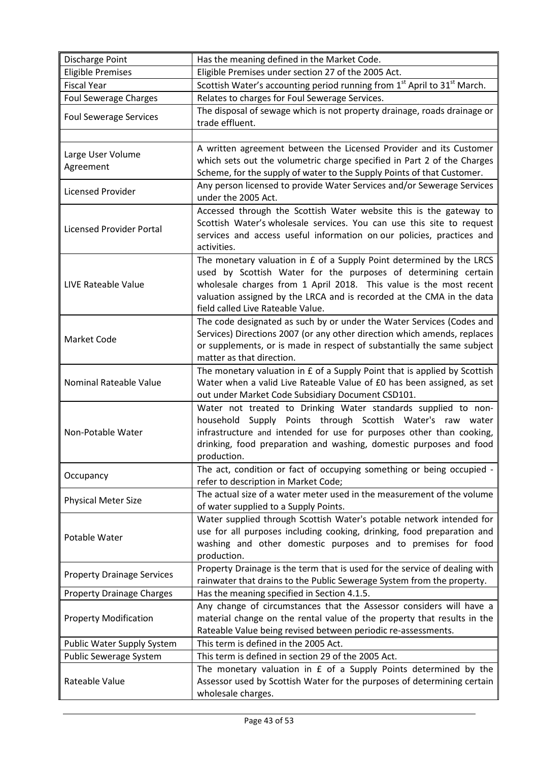| Discharge Point                   | Has the meaning defined in the Market Code.                                                                                                                                                                                                                                                                                |  |  |  |  |
|-----------------------------------|----------------------------------------------------------------------------------------------------------------------------------------------------------------------------------------------------------------------------------------------------------------------------------------------------------------------------|--|--|--|--|
| <b>Eligible Premises</b>          | Eligible Premises under section 27 of the 2005 Act.                                                                                                                                                                                                                                                                        |  |  |  |  |
| <b>Fiscal Year</b>                | Scottish Water's accounting period running from 1 <sup>st</sup> April to 31 <sup>st</sup> March.                                                                                                                                                                                                                           |  |  |  |  |
| <b>Foul Sewerage Charges</b>      | Relates to charges for Foul Sewerage Services.                                                                                                                                                                                                                                                                             |  |  |  |  |
| <b>Foul Sewerage Services</b>     | The disposal of sewage which is not property drainage, roads drainage or<br>trade effluent.                                                                                                                                                                                                                                |  |  |  |  |
|                                   |                                                                                                                                                                                                                                                                                                                            |  |  |  |  |
| Large User Volume<br>Agreement    | A written agreement between the Licensed Provider and its Customer<br>which sets out the volumetric charge specified in Part 2 of the Charges<br>Scheme, for the supply of water to the Supply Points of that Customer.                                                                                                    |  |  |  |  |
| <b>Licensed Provider</b>          | Any person licensed to provide Water Services and/or Sewerage Services<br>under the 2005 Act.                                                                                                                                                                                                                              |  |  |  |  |
| <b>Licensed Provider Portal</b>   | Accessed through the Scottish Water website this is the gateway to<br>Scottish Water's wholesale services. You can use this site to request<br>services and access useful information on our policies, practices and<br>activities.                                                                                        |  |  |  |  |
| <b>LIVE Rateable Value</b>        | The monetary valuation in £ of a Supply Point determined by the LRCS<br>used by Scottish Water for the purposes of determining certain<br>wholesale charges from 1 April 2018. This value is the most recent<br>valuation assigned by the LRCA and is recorded at the CMA in the data<br>field called Live Rateable Value. |  |  |  |  |
| Market Code                       | The code designated as such by or under the Water Services (Codes and<br>Services) Directions 2007 (or any other direction which amends, replaces<br>or supplements, or is made in respect of substantially the same subject<br>matter as that direction.                                                                  |  |  |  |  |
| Nominal Rateable Value            | The monetary valuation in £ of a Supply Point that is applied by Scottish<br>Water when a valid Live Rateable Value of £0 has been assigned, as set<br>out under Market Code Subsidiary Document CSD101.                                                                                                                   |  |  |  |  |
| Non-Potable Water                 | Water not treated to Drinking Water standards supplied to non-<br>household Supply Points through Scottish Water's raw water<br>infrastructure and intended for use for purposes other than cooking,<br>drinking, food preparation and washing, domestic purposes and food<br>production.                                  |  |  |  |  |
| Occupancy                         | The act, condition or fact of occupying something or being occupied -<br>refer to description in Market Code;                                                                                                                                                                                                              |  |  |  |  |
| <b>Physical Meter Size</b>        | The actual size of a water meter used in the measurement of the volume<br>of water supplied to a Supply Points.                                                                                                                                                                                                            |  |  |  |  |
| Potable Water                     | Water supplied through Scottish Water's potable network intended for<br>use for all purposes including cooking, drinking, food preparation and<br>washing and other domestic purposes and to premises for food<br>production.                                                                                              |  |  |  |  |
| <b>Property Drainage Services</b> | Property Drainage is the term that is used for the service of dealing with<br>rainwater that drains to the Public Sewerage System from the property.                                                                                                                                                                       |  |  |  |  |
| <b>Property Drainage Charges</b>  | Has the meaning specified in Section 4.1.5.                                                                                                                                                                                                                                                                                |  |  |  |  |
| <b>Property Modification</b>      | Any change of circumstances that the Assessor considers will have a<br>material change on the rental value of the property that results in the<br>Rateable Value being revised between periodic re-assessments.                                                                                                            |  |  |  |  |
| Public Water Supply System        | This term is defined in the 2005 Act.                                                                                                                                                                                                                                                                                      |  |  |  |  |
| Public Sewerage System            | This term is defined in section 29 of the 2005 Act.                                                                                                                                                                                                                                                                        |  |  |  |  |
| Rateable Value                    | The monetary valuation in £ of a Supply Points determined by the<br>Assessor used by Scottish Water for the purposes of determining certain<br>wholesale charges.                                                                                                                                                          |  |  |  |  |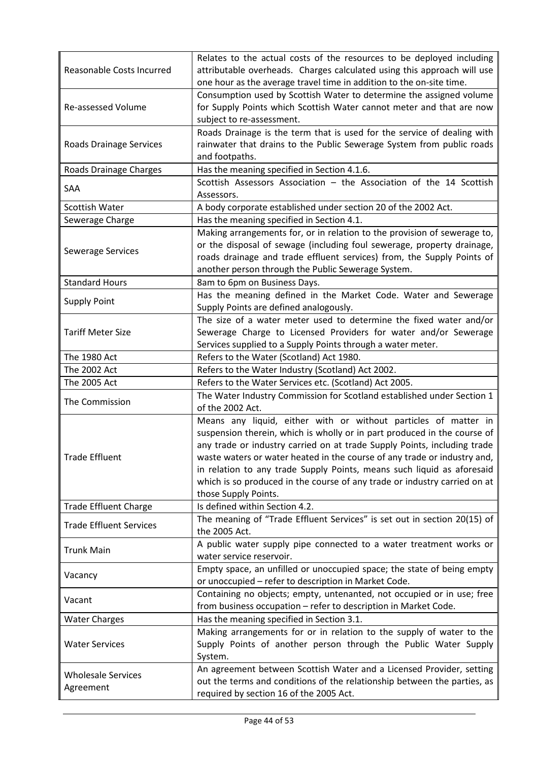| Reasonable Costs Incurred      | Relates to the actual costs of the resources to be deployed including<br>attributable overheads. Charges calculated using this approach will use<br>one hour as the average travel time in addition to the on-site time.                                                                                                                                                                                                                                                           |  |  |  |  |
|--------------------------------|------------------------------------------------------------------------------------------------------------------------------------------------------------------------------------------------------------------------------------------------------------------------------------------------------------------------------------------------------------------------------------------------------------------------------------------------------------------------------------|--|--|--|--|
| Re-assessed Volume             | Consumption used by Scottish Water to determine the assigned volume<br>for Supply Points which Scottish Water cannot meter and that are now<br>subject to re-assessment.                                                                                                                                                                                                                                                                                                           |  |  |  |  |
| Roads Drainage Services        | Roads Drainage is the term that is used for the service of dealing with<br>rainwater that drains to the Public Sewerage System from public roads<br>and footpaths.                                                                                                                                                                                                                                                                                                                 |  |  |  |  |
| Roads Drainage Charges         | Has the meaning specified in Section 4.1.6.                                                                                                                                                                                                                                                                                                                                                                                                                                        |  |  |  |  |
| SAA                            | Scottish Assessors Association - the Association of the 14 Scottish<br>Assessors.                                                                                                                                                                                                                                                                                                                                                                                                  |  |  |  |  |
| Scottish Water                 | A body corporate established under section 20 of the 2002 Act.                                                                                                                                                                                                                                                                                                                                                                                                                     |  |  |  |  |
| Sewerage Charge                | Has the meaning specified in Section 4.1.                                                                                                                                                                                                                                                                                                                                                                                                                                          |  |  |  |  |
|                                |                                                                                                                                                                                                                                                                                                                                                                                                                                                                                    |  |  |  |  |
| Sewerage Services              | Making arrangements for, or in relation to the provision of sewerage to,<br>or the disposal of sewage (including foul sewerage, property drainage,<br>roads drainage and trade effluent services) from, the Supply Points of<br>another person through the Public Sewerage System.                                                                                                                                                                                                 |  |  |  |  |
| <b>Standard Hours</b>          | 8am to 6pm on Business Days.                                                                                                                                                                                                                                                                                                                                                                                                                                                       |  |  |  |  |
|                                | Has the meaning defined in the Market Code. Water and Sewerage                                                                                                                                                                                                                                                                                                                                                                                                                     |  |  |  |  |
| <b>Supply Point</b>            | Supply Points are defined analogously.                                                                                                                                                                                                                                                                                                                                                                                                                                             |  |  |  |  |
|                                | The size of a water meter used to determine the fixed water and/or                                                                                                                                                                                                                                                                                                                                                                                                                 |  |  |  |  |
| <b>Tariff Meter Size</b>       | Sewerage Charge to Licensed Providers for water and/or Sewerage                                                                                                                                                                                                                                                                                                                                                                                                                    |  |  |  |  |
|                                | Services supplied to a Supply Points through a water meter.                                                                                                                                                                                                                                                                                                                                                                                                                        |  |  |  |  |
| The 1980 Act                   | Refers to the Water (Scotland) Act 1980.                                                                                                                                                                                                                                                                                                                                                                                                                                           |  |  |  |  |
| The 2002 Act                   | Refers to the Water Industry (Scotland) Act 2002.                                                                                                                                                                                                                                                                                                                                                                                                                                  |  |  |  |  |
| The 2005 Act                   | Refers to the Water Services etc. (Scotland) Act 2005.                                                                                                                                                                                                                                                                                                                                                                                                                             |  |  |  |  |
| The Commission                 | The Water Industry Commission for Scotland established under Section 1<br>of the 2002 Act.                                                                                                                                                                                                                                                                                                                                                                                         |  |  |  |  |
| <b>Trade Effluent</b>          | Means any liquid, either with or without particles of matter in<br>suspension therein, which is wholly or in part produced in the course of<br>any trade or industry carried on at trade Supply Points, including trade<br>waste waters or water heated in the course of any trade or industry and,<br>in relation to any trade Supply Points, means such liquid as aforesaid<br>which is so produced in the course of any trade or industry carried on at<br>those Supply Points. |  |  |  |  |
| <b>Trade Effluent Charge</b>   | Is defined within Section 4.2.                                                                                                                                                                                                                                                                                                                                                                                                                                                     |  |  |  |  |
| <b>Trade Effluent Services</b> | The meaning of "Trade Effluent Services" is set out in section 20(15) of<br>the 2005 Act.                                                                                                                                                                                                                                                                                                                                                                                          |  |  |  |  |
| <b>Trunk Main</b>              | A public water supply pipe connected to a water treatment works or<br>water service reservoir.                                                                                                                                                                                                                                                                                                                                                                                     |  |  |  |  |
|                                |                                                                                                                                                                                                                                                                                                                                                                                                                                                                                    |  |  |  |  |
| Vacancy                        | Empty space, an unfilled or unoccupied space; the state of being empty<br>or unoccupied - refer to description in Market Code.                                                                                                                                                                                                                                                                                                                                                     |  |  |  |  |
| Vacant                         | Containing no objects; empty, untenanted, not occupied or in use; free<br>from business occupation - refer to description in Market Code.                                                                                                                                                                                                                                                                                                                                          |  |  |  |  |
| <b>Water Charges</b>           | Has the meaning specified in Section 3.1.                                                                                                                                                                                                                                                                                                                                                                                                                                          |  |  |  |  |
| <b>Water Services</b>          | Making arrangements for or in relation to the supply of water to the<br>Supply Points of another person through the Public Water Supply<br>System.<br>An agreement between Scottish Water and a Licensed Provider, setting                                                                                                                                                                                                                                                         |  |  |  |  |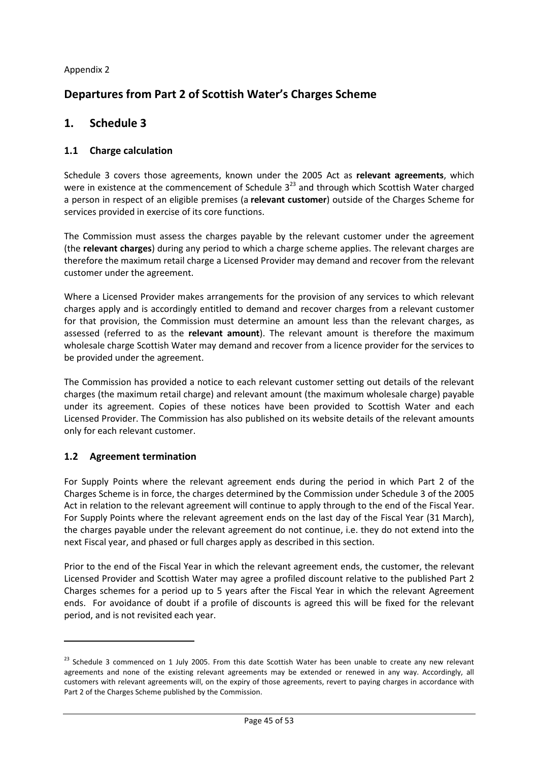#### Appendix 2

# Departures from Part 2 of Scottish Water's Charges Scheme

# 1. Schedule 3

# 1.1 Charge calculation

Schedule 3 covers those agreements, known under the 2005 Act as relevant agreements, which were in existence at the commencement of Schedule  $3^{23}$  and through which Scottish Water charged a person in respect of an eligible premises (a relevant customer) outside of the Charges Scheme for services provided in exercise of its core functions.

The Commission must assess the charges payable by the relevant customer under the agreement (the relevant charges) during any period to which a charge scheme applies. The relevant charges are therefore the maximum retail charge a Licensed Provider may demand and recover from the relevant customer under the agreement.

Where a Licensed Provider makes arrangements for the provision of any services to which relevant charges apply and is accordingly entitled to demand and recover charges from a relevant customer for that provision, the Commission must determine an amount less than the relevant charges, as assessed (referred to as the relevant amount). The relevant amount is therefore the maximum wholesale charge Scottish Water may demand and recover from a licence provider for the services to be provided under the agreement.

The Commission has provided a notice to each relevant customer setting out details of the relevant charges (the maximum retail charge) and relevant amount (the maximum wholesale charge) payable under its agreement. Copies of these notices have been provided to Scottish Water and each Licensed Provider. The Commission has also published on its website details of the relevant amounts only for each relevant customer.

#### 1.2 Agreement termination

For Supply Points where the relevant agreement ends during the period in which Part 2 of the Charges Scheme is in force, the charges determined by the Commission under Schedule 3 of the 2005 Act in relation to the relevant agreement will continue to apply through to the end of the Fiscal Year. For Supply Points where the relevant agreement ends on the last day of the Fiscal Year (31 March), the charges payable under the relevant agreement do not continue, i.e. they do not extend into the next Fiscal year, and phased or full charges apply as described in this section.

Prior to the end of the Fiscal Year in which the relevant agreement ends, the customer, the relevant Licensed Provider and Scottish Water may agree a profiled discount relative to the published Part 2 Charges schemes for a period up to 5 years after the Fiscal Year in which the relevant Agreement ends. For avoidance of doubt if a profile of discounts is agreed this will be fixed for the relevant period, and is not revisited each year.

<sup>&</sup>lt;sup>23</sup> Schedule 3 commenced on 1 July 2005. From this date Scottish Water has been unable to create any new relevant agreements and none of the existing relevant agreements may be extended or renewed in any way. Accordingly, all customers with relevant agreements will, on the expiry of those agreements, revert to paying charges in accordance with Part 2 of the Charges Scheme published by the Commission.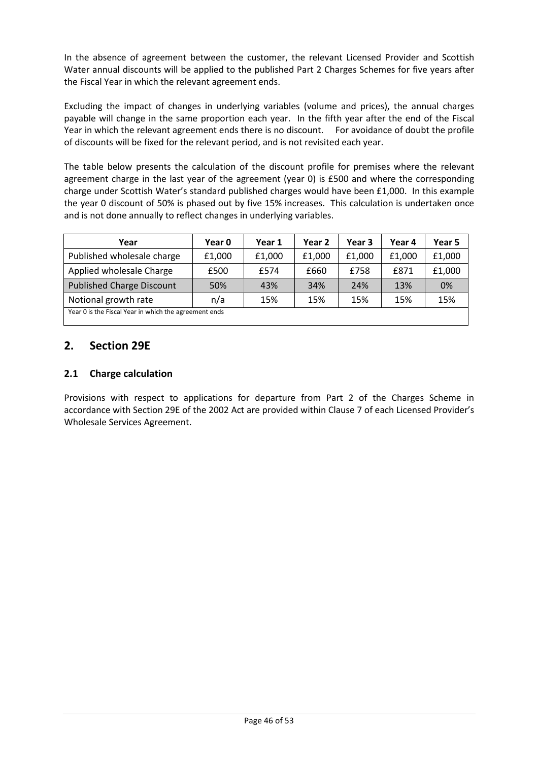In the absence of agreement between the customer, the relevant Licensed Provider and Scottish Water annual discounts will be applied to the published Part 2 Charges Schemes for five years after the Fiscal Year in which the relevant agreement ends.

Excluding the impact of changes in underlying variables (volume and prices), the annual charges payable will change in the same proportion each year. In the fifth year after the end of the Fiscal Year in which the relevant agreement ends there is no discount. For avoidance of doubt the profile of discounts will be fixed for the relevant period, and is not revisited each year.

The table below presents the calculation of the discount profile for premises where the relevant agreement charge in the last year of the agreement (year 0) is £500 and where the corresponding charge under Scottish Water's standard published charges would have been £1,000. In this example the year 0 discount of 50% is phased out by five 15% increases. This calculation is undertaken once and is not done annually to reflect changes in underlying variables.

| Year                                                  | Year 0 | Year 1 | Year 2 | Year 3 | Year 4 | Year 5 |
|-------------------------------------------------------|--------|--------|--------|--------|--------|--------|
| Published wholesale charge                            | £1,000 | £1,000 | £1,000 | £1,000 | £1,000 | £1,000 |
| Applied wholesale Charge                              | £500   | £574   | £660   | £758   | £871   | £1,000 |
| Published Charge Discount                             | 50%    | 43%    | 34%    | 24%    | 13%    | 0%     |
| Notional growth rate                                  | n/a    | 15%    | 15%    | 15%    | 15%    | 15%    |
| Year 0 is the Fiscal Year in which the agreement ends |        |        |        |        |        |        |

# 2. Section 29E

# 2.1 Charge calculation

Provisions with respect to applications for departure from Part 2 of the Charges Scheme in accordance with Section 29E of the 2002 Act are provided within Clause 7 of each Licensed Provider's Wholesale Services Agreement.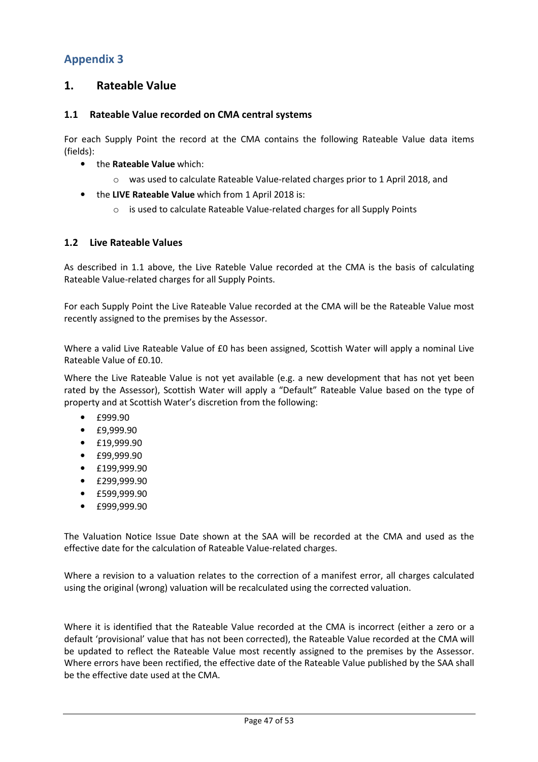# Appendix 3

# 1. Rateable Value

### 1.1 Rateable Value recorded on CMA central systems

For each Supply Point the record at the CMA contains the following Rateable Value data items (fields):

- the Rateable Value which:
	- o was used to calculate Rateable Value-related charges prior to 1 April 2018, and
- the LIVE Rateable Value which from 1 April 2018 is:
	- o is used to calculate Rateable Value-related charges for all Supply Points

#### 1.2 Live Rateable Values

As described in 1.1 above, the Live Rateble Value recorded at the CMA is the basis of calculating Rateable Value-related charges for all Supply Points.

For each Supply Point the Live Rateable Value recorded at the CMA will be the Rateable Value most recently assigned to the premises by the Assessor.

Where a valid Live Rateable Value of £0 has been assigned, Scottish Water will apply a nominal Live Rateable Value of £0.10.

Where the Live Rateable Value is not yet available (e.g. a new development that has not yet been rated by the Assessor), Scottish Water will apply a "Default" Rateable Value based on the type of property and at Scottish Water's discretion from the following:

- £999.90
- £9,999.90
- £19,999.90
- £99,999.90
- £199,999.90
- £299,999.90
- £599,999.90
- £999,999.90

The Valuation Notice Issue Date shown at the SAA will be recorded at the CMA and used as the effective date for the calculation of Rateable Value-related charges.

Where a revision to a valuation relates to the correction of a manifest error, all charges calculated using the original (wrong) valuation will be recalculated using the corrected valuation.

Where it is identified that the Rateable Value recorded at the CMA is incorrect (either a zero or a default 'provisional' value that has not been corrected), the Rateable Value recorded at the CMA will be updated to reflect the Rateable Value most recently assigned to the premises by the Assessor. Where errors have been rectified, the effective date of the Rateable Value published by the SAA shall be the effective date used at the CMA.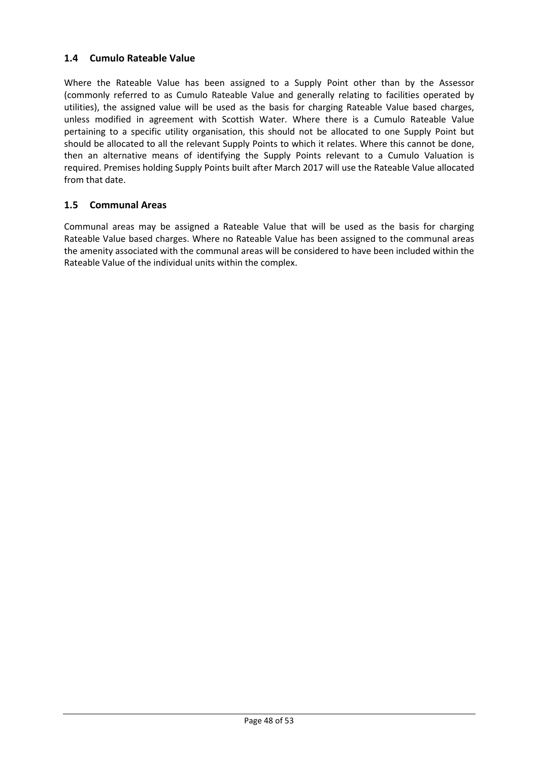# 1.4 Cumulo Rateable Value

Where the Rateable Value has been assigned to a Supply Point other than by the Assessor (commonly referred to as Cumulo Rateable Value and generally relating to facilities operated by utilities), the assigned value will be used as the basis for charging Rateable Value based charges, unless modified in agreement with Scottish Water. Where there is a Cumulo Rateable Value pertaining to a specific utility organisation, this should not be allocated to one Supply Point but should be allocated to all the relevant Supply Points to which it relates. Where this cannot be done, then an alternative means of identifying the Supply Points relevant to a Cumulo Valuation is required. Premises holding Supply Points built after March 2017 will use the Rateable Value allocated from that date.

# 1.5 Communal Areas

Communal areas may be assigned a Rateable Value that will be used as the basis for charging Rateable Value based charges. Where no Rateable Value has been assigned to the communal areas the amenity associated with the communal areas will be considered to have been included within the Rateable Value of the individual units within the complex.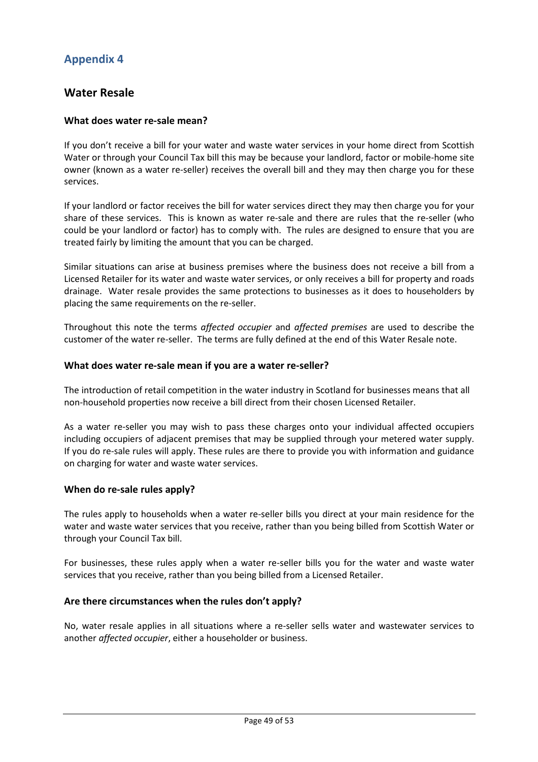# Appendix 4

# Water Resale

#### What does water re-sale mean?

If you don't receive a bill for your water and waste water services in your home direct from Scottish Water or through your Council Tax bill this may be because your landlord, factor or mobile-home site owner (known as a water re-seller) receives the overall bill and they may then charge you for these services.

If your landlord or factor receives the bill for water services direct they may then charge you for your share of these services. This is known as water re-sale and there are rules that the re-seller (who could be your landlord or factor) has to comply with. The rules are designed to ensure that you are treated fairly by limiting the amount that you can be charged.

Similar situations can arise at business premises where the business does not receive a bill from a Licensed Retailer for its water and waste water services, or only receives a bill for property and roads drainage. Water resale provides the same protections to businesses as it does to householders by placing the same requirements on the re-seller.

Throughout this note the terms affected occupier and affected premises are used to describe the customer of the water re-seller. The terms are fully defined at the end of this Water Resale note.

#### What does water re-sale mean if you are a water re-seller?

The introduction of retail competition in the water industry in Scotland for businesses means that all non-household properties now receive a bill direct from their chosen Licensed Retailer.

As a water re-seller you may wish to pass these charges onto your individual affected occupiers including occupiers of adjacent premises that may be supplied through your metered water supply. If you do re-sale rules will apply. These rules are there to provide you with information and guidance on charging for water and waste water services.

#### When do re-sale rules apply?

The rules apply to households when a water re-seller bills you direct at your main residence for the water and waste water services that you receive, rather than you being billed from Scottish Water or through your Council Tax bill.

For businesses, these rules apply when a water re-seller bills you for the water and waste water services that you receive, rather than you being billed from a Licensed Retailer.

#### Are there circumstances when the rules don't apply?

No, water resale applies in all situations where a re-seller sells water and wastewater services to another affected occupier, either a householder or business.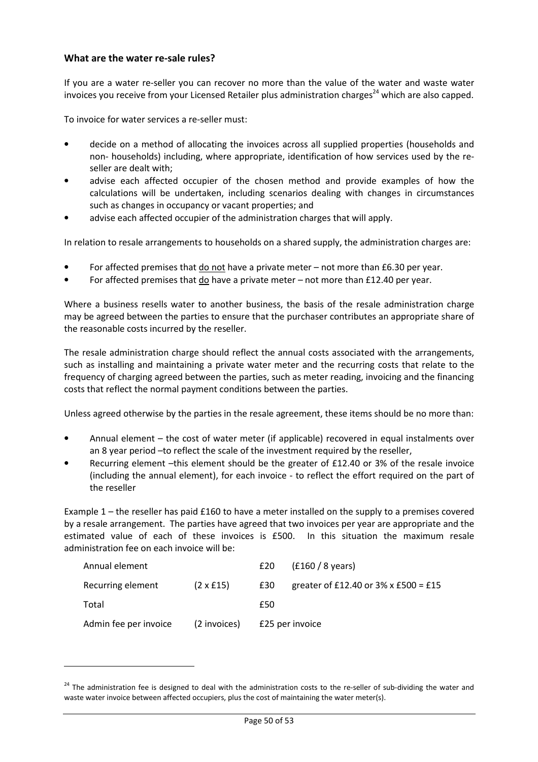#### What are the water re-sale rules?

 $\overline{a}$ 

If you are a water re-seller you can recover no more than the value of the water and waste water invoices you receive from your Licensed Retailer plus administration charges<sup>24</sup> which are also capped.

To invoice for water services a re-seller must:

- decide on a method of allocating the invoices across all supplied properties (households and non- households) including, where appropriate, identification of how services used by the reseller are dealt with;
- advise each affected occupier of the chosen method and provide examples of how the calculations will be undertaken, including scenarios dealing with changes in circumstances such as changes in occupancy or vacant properties; and
- advise each affected occupier of the administration charges that will apply.

In relation to resale arrangements to households on a shared supply, the administration charges are:

- For affected premises that do not have a private meter not more than £6.30 per year.
- For affected premises that do have a private meter not more than £12.40 per year.

Where a business resells water to another business, the basis of the resale administration charge may be agreed between the parties to ensure that the purchaser contributes an appropriate share of the reasonable costs incurred by the reseller.

The resale administration charge should reflect the annual costs associated with the arrangements, such as installing and maintaining a private water meter and the recurring costs that relate to the frequency of charging agreed between the parties, such as meter reading, invoicing and the financing costs that reflect the normal payment conditions between the parties.

Unless agreed otherwise by the parties in the resale agreement, these items should be no more than:

- Annual element the cost of water meter (if applicable) recovered in equal instalments over an 8 year period –to reflect the scale of the investment required by the reseller,
- Recurring element –this element should be the greater of £12.40 or 3% of the resale invoice (including the annual element), for each invoice - to reflect the effort required on the part of the reseller

Example 1 – the reseller has paid £160 to have a meter installed on the supply to a premises covered by a resale arrangement. The parties have agreed that two invoices per year are appropriate and the estimated value of each of these invoices is £500. In this situation the maximum resale administration fee on each invoice will be:

| Annual element        |                  | f 20.           | $(E160 / 8 \text{ years})$              |
|-----------------------|------------------|-----------------|-----------------------------------------|
| Recurring element     | $(2 \times £15)$ | £30             | greater of £12.40 or $3\%$ x £500 = £15 |
| Total                 |                  | £50             |                                         |
| Admin fee per invoice | (2 invoices)     | £25 per invoice |                                         |

<sup>&</sup>lt;sup>24</sup> The administration fee is designed to deal with the administration costs to the re-seller of sub-dividing the water and waste water invoice between affected occupiers, plus the cost of maintaining the water meter(s).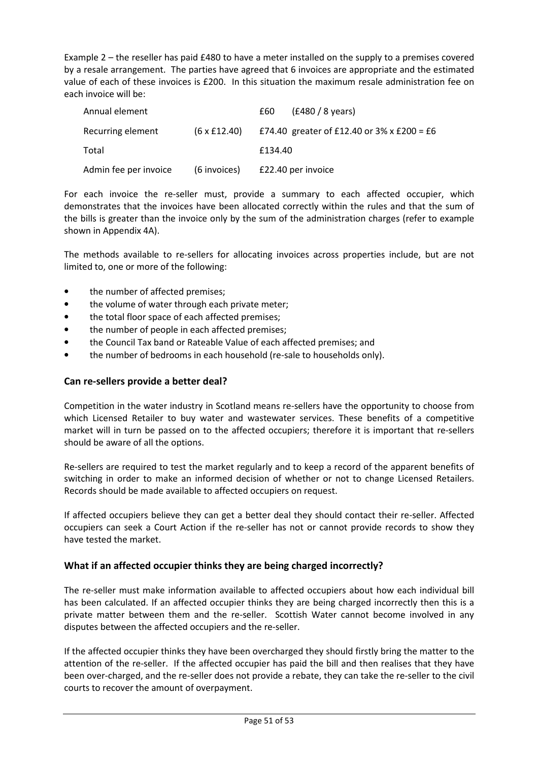Example 2 – the reseller has paid £480 to have a meter installed on the supply to a premises covered by a resale arrangement. The parties have agreed that 6 invoices are appropriate and the estimated value of each of these invoices is £200. In this situation the maximum resale administration fee on each invoice will be:

| Annual element        |                     | $(E480 / 8 \text{ years})$<br>£60.         |
|-----------------------|---------------------|--------------------------------------------|
| Recurring element     | $(6 \times £12.40)$ | £74.40 greater of £12.40 or 3% x £200 = £6 |
| Total                 |                     | £134.40                                    |
| Admin fee per invoice | (6 invoices)        | £22.40 per invoice                         |

For each invoice the re-seller must, provide a summary to each affected occupier, which demonstrates that the invoices have been allocated correctly within the rules and that the sum of the bills is greater than the invoice only by the sum of the administration charges (refer to example shown in Appendix 4A).

The methods available to re-sellers for allocating invoices across properties include, but are not limited to, one or more of the following:

- the number of affected premises;
- the volume of water through each private meter:
- the total floor space of each affected premises;
- the number of people in each affected premises;
- the Council Tax band or Rateable Value of each affected premises; and
- the number of bedrooms in each household (re-sale to households only).

#### Can re-sellers provide a better deal?

Competition in the water industry in Scotland means re-sellers have the opportunity to choose from which Licensed Retailer to buy water and wastewater services. These benefits of a competitive market will in turn be passed on to the affected occupiers; therefore it is important that re-sellers should be aware of all the options.

Re-sellers are required to test the market regularly and to keep a record of the apparent benefits of switching in order to make an informed decision of whether or not to change Licensed Retailers. Records should be made available to affected occupiers on request.

If affected occupiers believe they can get a better deal they should contact their re-seller. Affected occupiers can seek a Court Action if the re-seller has not or cannot provide records to show they have tested the market.

#### What if an affected occupier thinks they are being charged incorrectly?

The re-seller must make information available to affected occupiers about how each individual bill has been calculated. If an affected occupier thinks they are being charged incorrectly then this is a private matter between them and the re-seller. Scottish Water cannot become involved in any disputes between the affected occupiers and the re-seller.

If the affected occupier thinks they have been overcharged they should firstly bring the matter to the attention of the re-seller. If the affected occupier has paid the bill and then realises that they have been over-charged, and the re-seller does not provide a rebate, they can take the re-seller to the civil courts to recover the amount of overpayment.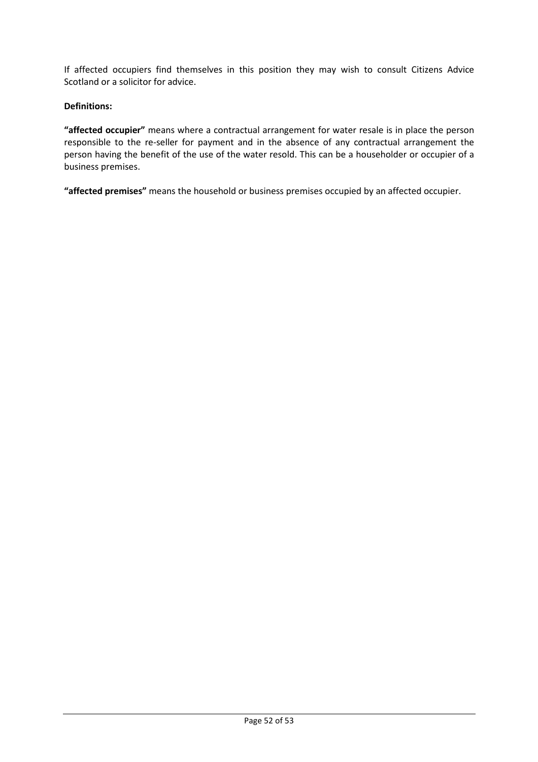If affected occupiers find themselves in this position they may wish to consult Citizens Advice Scotland or a solicitor for advice.

#### Definitions:

"affected occupier" means where a contractual arrangement for water resale is in place the person responsible to the re-seller for payment and in the absence of any contractual arrangement the person having the benefit of the use of the water resold. This can be a householder or occupier of a business premises.

"affected premises" means the household or business premises occupied by an affected occupier.